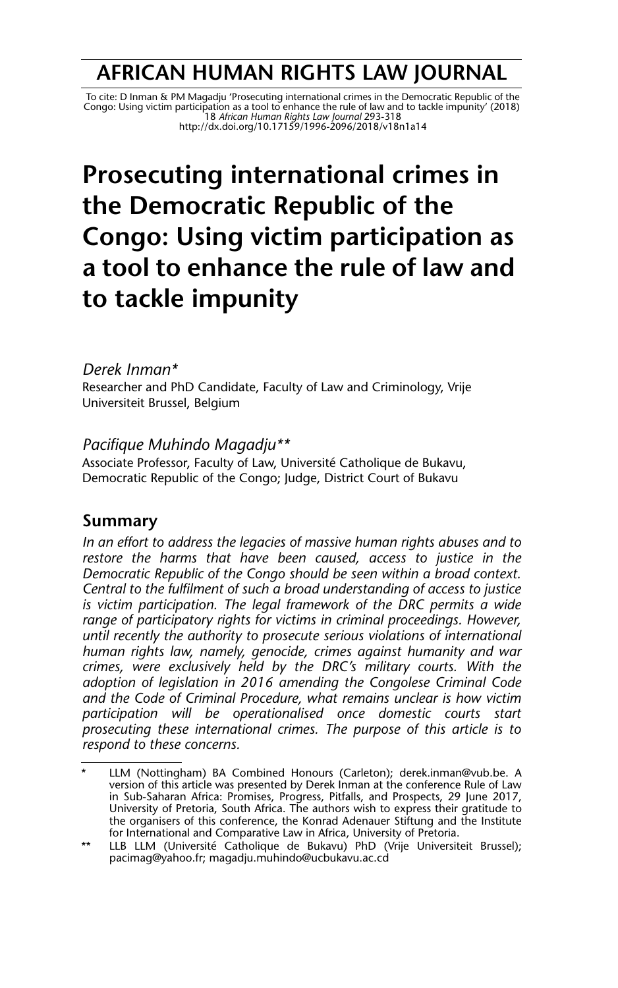# **AFRICAN HUMAN RIGHTS LAW JOURNAL**

 To cite: D Inman & PM Magadju 'Prosecuting international crimes in the Democratic Republic of the Congo: Using victim participation as a tool to enhance the rule of law and to tackle impunity' (2018) 18 *African Human Rights Law Journal* 293-318 http://dx.doi.org/10.17159/1996-2096/2018/v18n1a14

# **Prosecuting international crimes in the Democratic Republic of the Congo: Using victim participation as a tool to enhance the rule of law and to tackle impunity**

#### *Derek Inman\**

Researcher and PhD Candidate, Faculty of Law and Criminology, Vrije Universiteit Brussel, Belgium

#### *Pacifique Muhindo Magadju\*\**

Associate Professor, Faculty of Law, Université Catholique de Bukavu, Democratic Republic of the Congo; Judge, District Court of Bukavu

#### **Summary**

*In an effort to address the legacies of massive human rights abuses and to restore the harms that have been caused, access to justice in the Democratic Republic of the Congo should be seen within a broad context. Central to the fulfilment of such a broad understanding of access to justice is victim participation. The legal framework of the DRC permits a wide range of participatory rights for victims in criminal proceedings. However, until recently the authority to prosecute serious violations of international human rights law, namely, genocide, crimes against humanity and war crimes, were exclusively held by the DRC's military courts. With the adoption of legislation in 2016 amending the Congolese Criminal Code and the Code of Criminal Procedure, what remains unclear is how victim participation will be operationalised once domestic courts start prosecuting these international crimes. The purpose of this article is to respond to these concerns.*

LLM (Nottingham) BA Combined Honours (Carleton); derek.inman@vub.be. A version of this article was presented by Derek Inman at the conference Rule of Law in Sub-Saharan Africa: Promises, Progress, Pitfalls, and Prospects, 29 June 2017, University of Pretoria, South Africa. The authors wish to express their gratitude to the organisers of this conference, the Konrad Adenauer Stiftung and the Institute for International and Comparative Law in Africa, University of Pretoria.

<sup>\*\*</sup> LLB LLM (Université Catholique de Bukavu) PhD (Vrije Universiteit Brussel); pacimag@yahoo.fr; magadju.muhindo@ucbukavu.ac.cd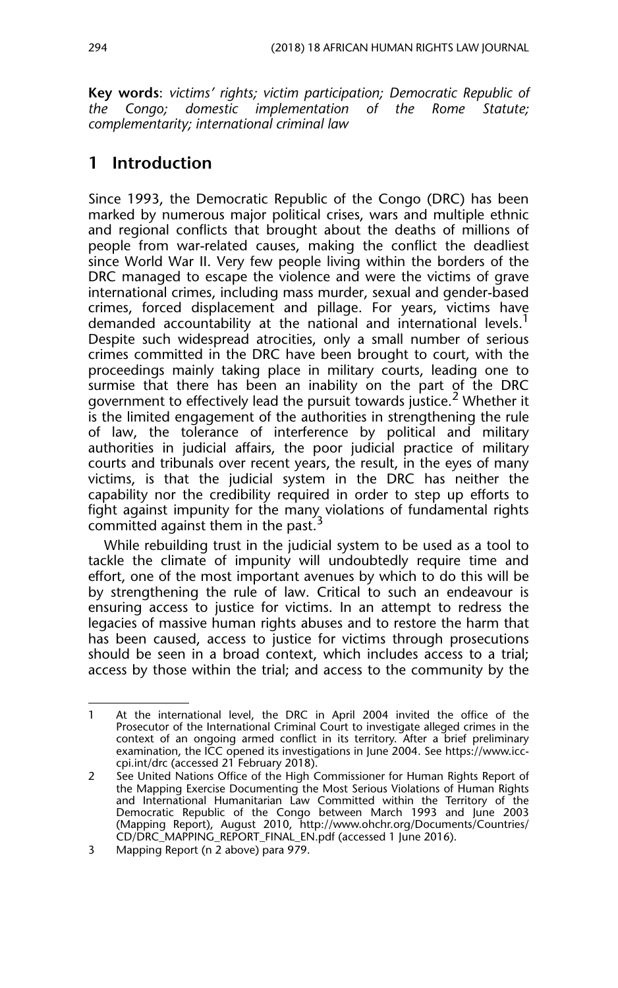**Key words**: *victims' rights; victim participation; Democratic Republic of the Congo; domestic implementation of the Rome Statute; complementarity; international criminal law*

# **1 Introduction**

Since 1993, the Democratic Republic of the Congo (DRC) has been marked by numerous major political crises, wars and multiple ethnic and regional conflicts that brought about the deaths of millions of people from war-related causes, making the conflict the deadliest since World War II. Very few people living within the borders of the DRC managed to escape the violence and were the victims of grave international crimes, including mass murder, sexual and gender-based crimes, forced displacement and pillage. For years, victims have demanded accountability at the national and international levels.<sup>1</sup> Despite such widespread atrocities, only a small number of serious crimes committed in the DRC have been brought to court, with the proceedings mainly taking place in military courts, leading one to surmise that there has been an inability on the part of the DRC government to effectively lead the pursuit towards justice.<sup>2</sup> Whether it is the limited engagement of the authorities in strengthening the rule of law, the tolerance of interference by political and military authorities in judicial affairs, the poor judicial practice of military courts and tribunals over recent years, the result, in the eyes of many victims, is that the judicial system in the DRC has neither the capability nor the credibility required in order to step up efforts to fight against impunity for the many violations of fundamental rights committed against them in the past.<sup>3</sup>

While rebuilding trust in the judicial system to be used as a tool to tackle the climate of impunity will undoubtedly require time and effort, one of the most important avenues by which to do this will be by strengthening the rule of law. Critical to such an endeavour is ensuring access to justice for victims. In an attempt to redress the legacies of massive human rights abuses and to restore the harm that has been caused, access to justice for victims through prosecutions should be seen in a broad context, which includes access to a trial; access by those within the trial; and access to the community by the

<sup>1</sup> At the international level, the DRC in April 2004 invited the office of the Prosecutor of the International Criminal Court to investigate alleged crimes in the context of an ongoing armed conflict in its territory. After a brief preliminary examination, the ICC opened its investigations in June 2004. See https://www.icccpi.int/drc (accessed 21 February 2018).

<sup>2</sup> See United Nations Office of the High Commissioner for Human Rights Report of the Mapping Exercise Documenting the Most Serious Violations of Human Rights and International Humanitarian Law Committed within the Territory of the Democratic Republic of the Congo between March 1993 and June 2003 (Mapping Report), August 2010, http://www.ohchr.org/Documents/Countries/ CD/DRC\_MAPPING\_REPORT\_FINAL\_EN.pdf (accessed 1 June 2016).

<sup>3</sup> Mapping Report (n 2 above) para 979.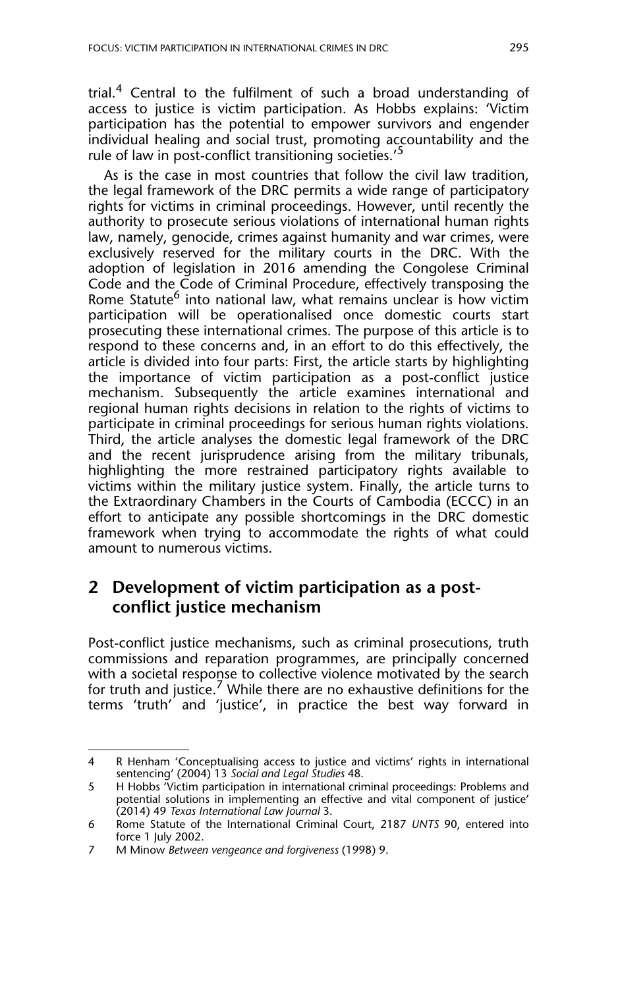trial.<sup>4</sup> Central to the fulfilment of such a broad understanding of access to justice is victim participation. As Hobbs explains: 'Victim participation has the potential to empower survivors and engender individual healing and social trust, promoting accountability and the rule of law in post-conflict transitioning societies.'<sup>5</sup>

As is the case in most countries that follow the civil law tradition, the legal framework of the DRC permits a wide range of participatory rights for victims in criminal proceedings. However, until recently the authority to prosecute serious violations of international human rights law, namely, genocide, crimes against humanity and war crimes, were exclusively reserved for the military courts in the DRC. With the adoption of legislation in 2016 amending the Congolese Criminal Code and the Code of Criminal Procedure, effectively transposing the Rome Statute<sup>6</sup> into national law, what remains unclear is how victim participation will be operationalised once domestic courts start prosecuting these international crimes. The purpose of this article is to respond to these concerns and, in an effort to do this effectively, the article is divided into four parts: First, the article starts by highlighting the importance of victim participation as a post-conflict justice mechanism. Subsequently the article examines international and regional human rights decisions in relation to the rights of victims to participate in criminal proceedings for serious human rights violations. Third, the article analyses the domestic legal framework of the DRC and the recent jurisprudence arising from the military tribunals, highlighting the more restrained participatory rights available to victims within the military justice system. Finally, the article turns to the Extraordinary Chambers in the Courts of Cambodia (ECCC) in an effort to anticipate any possible shortcomings in the DRC domestic framework when trying to accommodate the rights of what could amount to numerous victims.

#### **2 Development of victim participation as a postconflict justice mechanism**

Post-conflict justice mechanisms, such as criminal prosecutions, truth commissions and reparation programmes, are principally concerned with a societal response to collective violence motivated by the search for truth and justice.<sup>7</sup> While there are no exhaustive definitions for the terms 'truth' and 'justice', in practice the best way forward in

<sup>4</sup> R Henham 'Conceptualising access to justice and victims' rights in international sentencing' (2004) 13 *Social and Legal Studies* 48.

<sup>5</sup> H Hobbs 'Victim participation in international criminal proceedings: Problems and potential solutions in implementing an effective and vital component of justice' (2014) 49 *Texas International Law Journal* 3.

<sup>6</sup> Rome Statute of the International Criminal Court, 2187 *UNTS* 90, entered into force 1 July 2002.

<sup>7</sup> M Minow *Between vengeance and forgiveness* (1998) 9.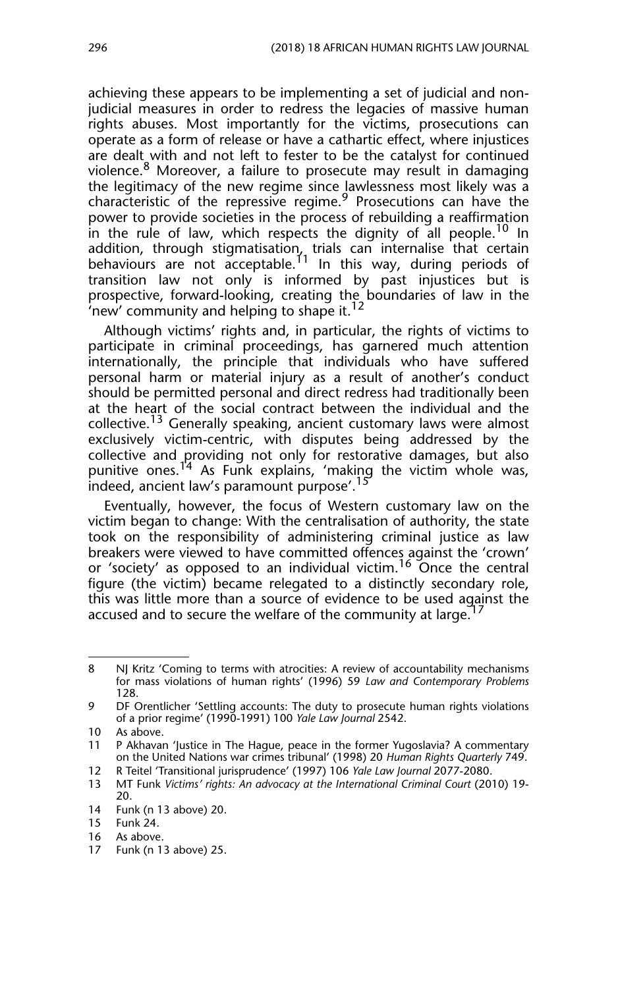achieving these appears to be implementing a set of judicial and nonjudicial measures in order to redress the legacies of massive human rights abuses. Most importantly for the victims, prosecutions can operate as a form of release or have a cathartic effect, where injustices are dealt with and not left to fester to be the catalyst for continued violence.8 Moreover, a failure to prosecute may result in damaging the legitimacy of the new regime since lawlessness most likely was a characteristic of the repressive regime. $9$  Prosecutions can have the power to provide societies in the process of rebuilding a reaffirmation in the rule of law, which respects the dignity of all people.<sup>10</sup> In addition, through stigmatisation, trials can internalise that certain behaviours are not acceptable.<sup>11</sup> In this way, during periods of transition law not only is informed by past injustices but is prospective, forward-looking, creating the boundaries of law in the  $n$ 'new' community and helping to shape it.<sup>12</sup>

Although victims' rights and, in particular, the rights of victims to participate in criminal proceedings, has garnered much attention internationally, the principle that individuals who have suffered personal harm or material injury as a result of another's conduct should be permitted personal and direct redress had traditionally been at the heart of the social contract between the individual and the collective.<sup>13</sup> Generally speaking, ancient customary laws were almost exclusively victim-centric, with disputes being addressed by the collective and providing not only for restorative damages, but also punitive ones.<sup>14</sup> As Funk explains, 'making the victim whole was, indeed, ancient law's paramount purpose'.<sup>15</sup>

Eventually, however, the focus of Western customary law on the victim began to change: With the centralisation of authority, the state took on the responsibility of administering criminal justice as law breakers were viewed to have committed offences against the 'crown' or 'society' as opposed to an individual victim.<sup>16</sup> Once the central figure (the victim) became relegated to a distinctly secondary role, this was little more than a source of evidence to be used against the accused and to secure the welfare of the community at large.

<sup>8</sup> NJ Kritz 'Coming to terms with atrocities: A review of accountability mechanisms for mass violations of human rights' (1996) 59 *Law and Contemporary Problems* 128.

<sup>9</sup> DF Orentlicher 'Settling accounts: The duty to prosecute human rights violations of a prior regime' (1990-1991) 100 *Yale Law Journal* 2542.

<sup>10</sup> As above.

<sup>11</sup> P Akhavan 'Justice in The Hague, peace in the former Yugoslavia? A commentary on the United Nations war crimes tribunal' (1998) 20 *Human Rights Quarterly* 749.

<sup>12</sup> R Teitel 'Transitional jurisprudence' (1997) 106 *Yale Law Journal* 2077-2080.

<sup>13</sup> MT Funk *Victims' rights: An advocacy at the International Criminal Court* (2010) 19- 20.

<sup>14</sup> Funk (n 13 above) 20.

<sup>15</sup> Funk 24.

<sup>16</sup> As above.

<sup>17</sup> Funk (n 13 above) 25.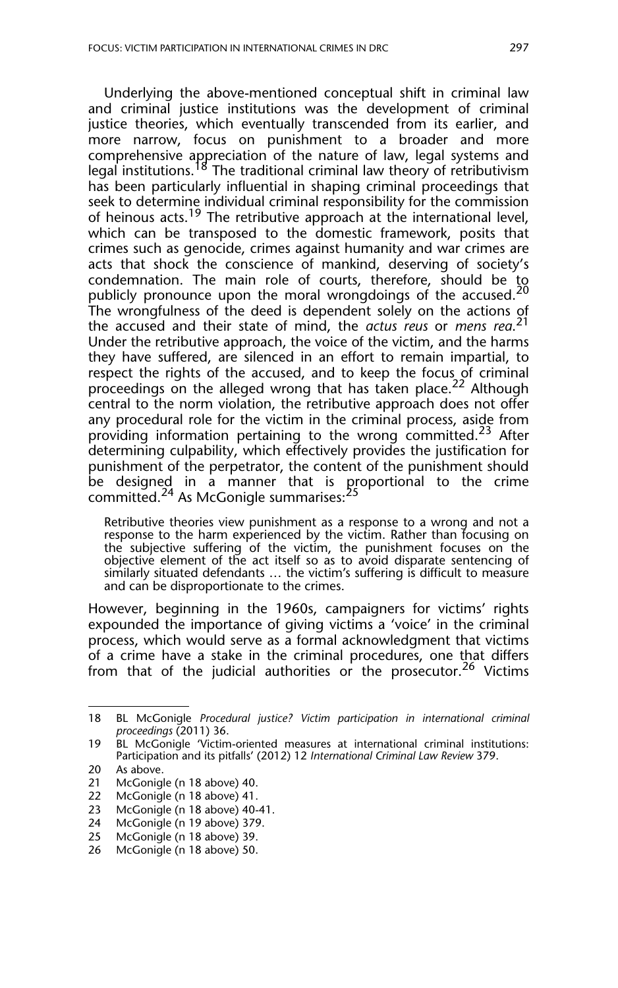Underlying the above-mentioned conceptual shift in criminal law and criminal justice institutions was the development of criminal justice theories, which eventually transcended from its earlier, and more narrow, focus on punishment to a broader and more comprehensive appreciation of the nature of law, legal systems and legal institutions.<sup>18</sup> The traditional criminal law theory of retributivism has been particularly influential in shaping criminal proceedings that seek to determine individual criminal responsibility for the commission of heinous acts.<sup>19</sup> The retributive approach at the international level, which can be transposed to the domestic framework, posits that crimes such as genocide, crimes against humanity and war crimes are acts that shock the conscience of mankind, deserving of society's condemnation. The main role of courts, therefore, should be to publicly pronounce upon the moral wrongdoings of the accused.<sup>20</sup> The wrongfulness of the deed is dependent solely on the actions of the accused and their state of mind, the *actus reus* or *mens rea*. 21 Under the retributive approach, the voice of the victim, and the harms they have suffered, are silenced in an effort to remain impartial, to respect the rights of the accused, and to keep the focus of criminal proceedings on the alleged wrong that has taken place.<sup>22</sup> Although central to the norm violation, the retributive approach does not offer any procedural role for the victim in the criminal process, aside from providing information pertaining to the wrong committed.<sup>23</sup> After determining culpability, which effectively provides the justification for punishment of the perpetrator, the content of the punishment should be designed in a manner that is proportional to the crime committed.<sup>24</sup> As McGonigle summarises:<sup>25</sup>

Retributive theories view punishment as a response to a wrong and not a response to the harm experienced by the victim. Rather than focusing on the subjective suffering of the victim, the punishment focuses on the objective element of the act itself so as to avoid disparate sentencing of similarly situated defendants … the victim's suffering is difficult to measure and can be disproportionate to the crimes.

However, beginning in the 1960s, campaigners for victims' rights expounded the importance of giving victims a 'voice' in the criminal process, which would serve as a formal acknowledgment that victims of a crime have a stake in the criminal procedures, one that differs from that of the judicial authorities or the prosecutor.<sup>26</sup> Victims

- 22 McGonigle (n 18 above) 41.
- 23 McGonigle (n 18 above) 40-41.
- 24 McGonigle (n 19 above) 379.

<sup>18</sup> BL McGonigle *Procedural justice? Victim participation in international criminal proceedings* (2011) 36.

<sup>19</sup> BL McGonigle 'Victim-oriented measures at international criminal institutions: Participation and its pitfalls' (2012) 12 *International Criminal Law Review* 379.

<sup>20</sup> As above.<br>21 McGonigl

McGonigle (n 18 above) 40.

<sup>25</sup> McGonigle (n 18 above) 39.

<sup>26</sup> McGonigle (n 18 above) 50.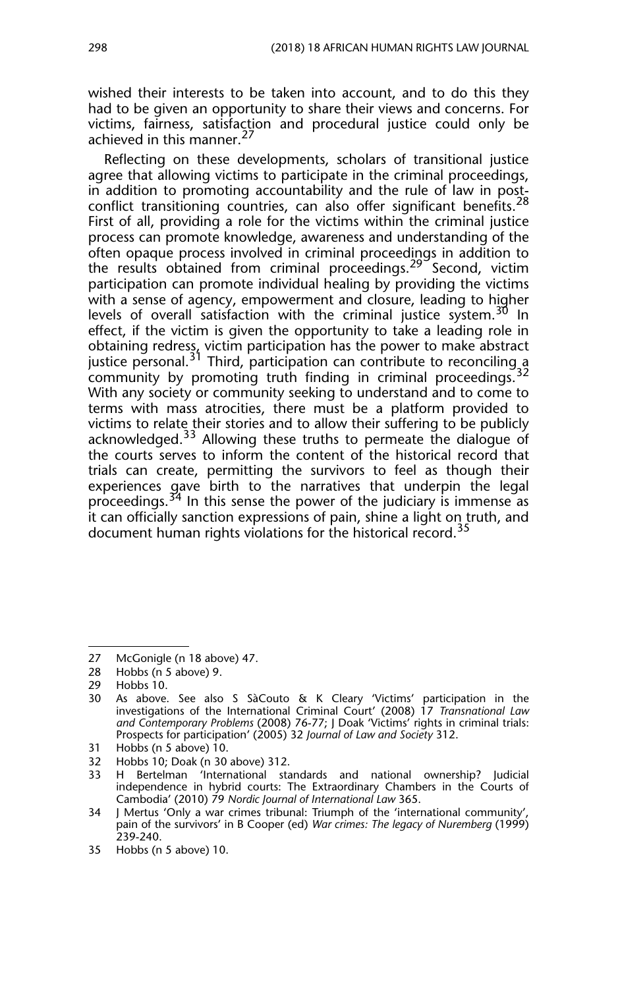wished their interests to be taken into account, and to do this they had to be given an opportunity to share their views and concerns. For victims, fairness, satisfaction and procedural justice could only be achieved in this manner.<sup>27</sup>

Reflecting on these developments, scholars of transitional justice agree that allowing victims to participate in the criminal proceedings, in addition to promoting accountability and the rule of law in postconflict transitioning countries, can also offer significant benefits.<sup>28</sup> First of all, providing a role for the victims within the criminal justice process can promote knowledge, awareness and understanding of the often opaque process involved in criminal proceedings in addition to the results obtained from criminal proceedings.<sup>29</sup> Second, victim participation can promote individual healing by providing the victims with a sense of agency, empowerment and closure, leading to higher levels of overall satisfaction with the criminal justice system.<sup>30</sup> In effect, if the victim is given the opportunity to take a leading role in obtaining redress, victim participation has the power to make abstract justice personal.<sup>31</sup> Third, participation can contribute to reconciling a community by promoting truth finding in criminal proceedings.<sup>32</sup> With any society or community seeking to understand and to come to terms with mass atrocities, there must be a platform provided to victims to relate their stories and to allow their suffering to be publicly acknowledged.33 Allowing these truths to permeate the dialogue of the courts serves to inform the content of the historical record that trials can create, permitting the survivors to feel as though their experiences gave birth to the narratives that underpin the legal proceedings.<sup>34</sup> In this sense the power of the judiciary is immense as it can officially sanction expressions of pain, shine a light on truth, and document human rights violations for the historical record.<sup>35</sup>

<sup>27</sup> McGonigle (n 18 above) 47.

<sup>28</sup> Hobbs (n 5 above) 9.

<sup>29</sup> Hobbs 10.

<sup>30</sup> As above. See also S SàCouto & K Cleary 'Victims' participation in the investigations of the International Criminal Court' (2008) 17 *Transnational Law and Contemporary Problems* (2008) 76-77; J Doak 'Victims' rights in criminal trials: Prospects for participation' (2005) 32 *Journal of Law and Society* 312.

<sup>31</sup> Hobbs (n 5 above) 10.

<sup>32</sup> Hobbs 10; Doak (n 30 above) 312.

<sup>33</sup> H Bertelman 'International standards and national ownership? Judicial independence in hybrid courts: The Extraordinary Chambers in the Courts of Cambodia' (2010) 79 *Nordic Journal of International Law* 365.

<sup>34</sup> J Mertus 'Only a war crimes tribunal: Triumph of the 'international community', pain of the survivors' in B Cooper (ed) *War crimes: The legacy of Nuremberg* (1999) 239-240.

<sup>35</sup> Hobbs (n 5 above) 10.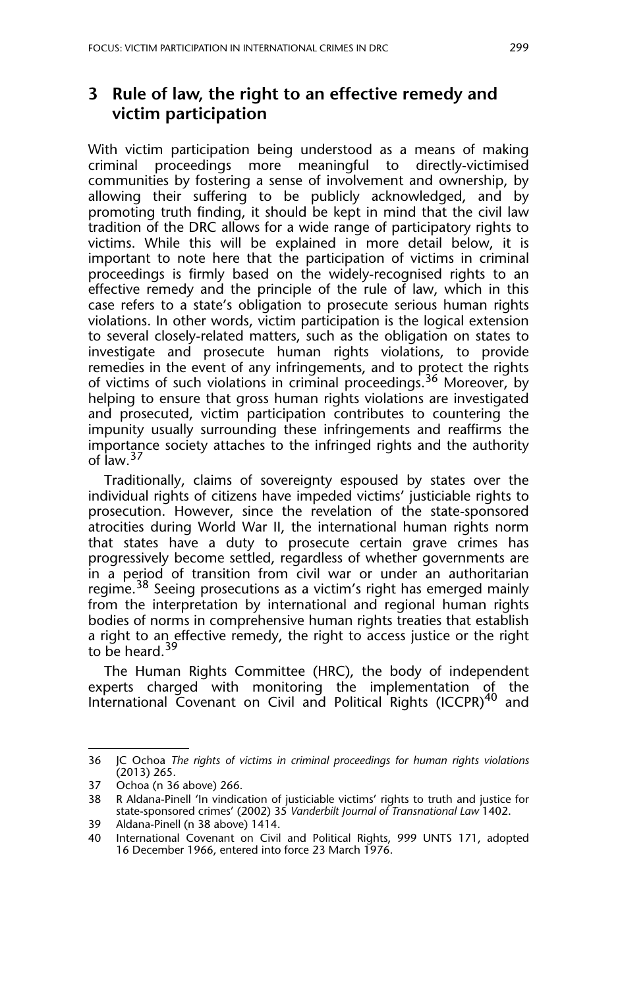#### **3 Rule of law, the right to an effective remedy and victim participation**

With victim participation being understood as a means of making criminal proceedings more meaningful to directly-victimised communities by fostering a sense of involvement and ownership, by allowing their suffering to be publicly acknowledged, and by promoting truth finding, it should be kept in mind that the civil law tradition of the DRC allows for a wide range of participatory rights to victims. While this will be explained in more detail below, it is important to note here that the participation of victims in criminal proceedings is firmly based on the widely-recognised rights to an effective remedy and the principle of the rule of law, which in this case refers to a state's obligation to prosecute serious human rights violations. In other words, victim participation is the logical extension to several closely-related matters, such as the obligation on states to investigate and prosecute human rights violations, to provide remedies in the event of any infringements, and to protect the rights of victims of such violations in criminal proceedings.36 Moreover, by helping to ensure that gross human rights violations are investigated and prosecuted, victim participation contributes to countering the impunity usually surrounding these infringements and reaffirms the importance society attaches to the infringed rights and the authority of law.<sup>37</sup>

Traditionally, claims of sovereignty espoused by states over the individual rights of citizens have impeded victims' justiciable rights to prosecution. However, since the revelation of the state-sponsored atrocities during World War II, the international human rights norm that states have a duty to prosecute certain grave crimes has progressively become settled, regardless of whether governments are in a period of transition from civil war or under an authoritarian regime.<sup>38</sup> Seeing prosecutions as a victim's right has emerged mainly from the interpretation by international and regional human rights bodies of norms in comprehensive human rights treaties that establish a right to an effective remedy, the right to access justice or the right to be heard.<sup>39</sup>

The Human Rights Committee (HRC), the body of independent experts charged with monitoring the implementation of the International Covenant on Civil and Political Rights (ICCPR)<sup>40</sup> and

<sup>36</sup> JC Ochoa *The rights of victims in criminal proceedings for human rights violations* (2013) 265.

<sup>37</sup> Ochoa (n 36 above) 266.

<sup>38</sup> R Aldana-Pinell 'In vindication of justiciable victims' rights to truth and justice for state-sponsored crimes' (2002) 35 *Vanderbilt Journal of Transnational Law* 1402.

<sup>39</sup> Aldana-Pinell (n 38 above) 1414.

International Covenant on Civil and Political Rights, 999 UNTS 171, adopted 16 December 1966, entered into force 23 March 1976.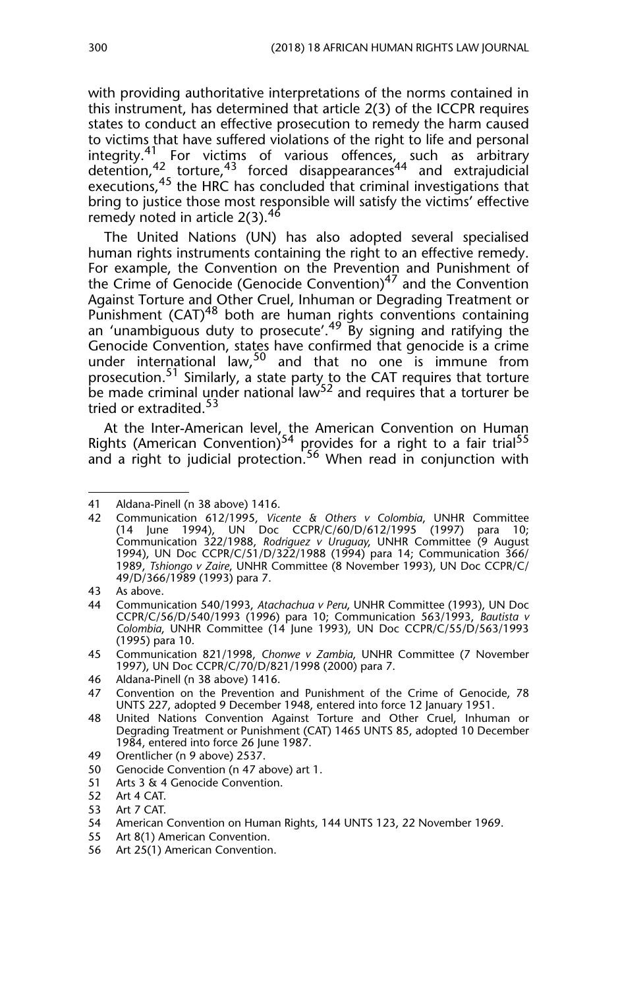with providing authoritative interpretations of the norms contained in this instrument, has determined that article 2(3) of the ICCPR requires states to conduct an effective prosecution to remedy the harm caused to victims that have suffered violations of the right to life and personal integrity.<sup>41</sup> For victims of various offences, such as arbitrary detention,<sup>42</sup> torture,<sup>43</sup> forced disappearances<sup>44</sup> and extrajudicial executions,<sup>45</sup> the HRC has concluded that criminal investigations that bring to justice those most responsible will satisfy the victims' effective remedy noted in article  $2(3).^{46}$ 

The United Nations (UN) has also adopted several specialised human rights instruments containing the right to an effective remedy. For example, the Convention on the Prevention and Punishment of the Crime of Genocide (Genocide Convention)<sup>47</sup> and the Convention Against Torture and Other Cruel, Inhuman or Degrading Treatment or Punishment (CAT)<sup>48</sup> both are human rights conventions containing an 'unambiguous duty to prosecute'.<sup>49</sup> By signing and ratifying the Genocide Convention, states have confirmed that genocide is a crime under international law,<sup>50</sup> and that no one is immune from prosecution.<sup>51</sup> Similarly, a state party to the CAT requires that torture be made criminal under national law<sup>52</sup> and requires that a torturer be tried or extradited.<sup>53</sup>

At the Inter-American level, the American Convention on Human Rights (American Convention)<sup>54</sup> provides for a right to a fair trial<sup>55</sup> and a right to judicial protection.<sup>56</sup> When read in conjunction with

- 49 Orentlicher (n 9 above) 2537.
- 50 Genocide Convention (n 47 above) art 1.
- 51 Arts 3 & 4 Genocide Convention.
- 52 Art 4 CAT.
- 53 Art 7 CAT.<br>54 American
- 54 American Convention on Human Rights, 144 UNTS 123, 22 November 1969.
- 55 Art 8(1) American Convention.
- 56 Art 25(1) American Convention.

<sup>41</sup> Aldana-Pinell (n 38 above) 1416.<br>42 Communication 612/1995. Vice

<sup>42</sup> Communication 612/1995, *Vicente & Others v Colombia*, UNHR Committee (14 June 1994), UN Doc CCPR/C/60/D/612/1995 (1997) para 10; Communication 322/1988, *Rodriguez v Uruguay*, UNHR Committee (9 August 1994), UN Doc CCPR/C/51/D/322/1988 (1994) para 14; Communication 366/ 1989, *Tshiongo v Zaire*, UNHR Committee (8 November 1993), UN Doc CCPR/C/ 49/D/366/1989 (1993) para 7.

<sup>43</sup> As above.

<sup>44</sup> Communication 540/1993, *Atachachua v Peru*, UNHR Committee (1993), UN Doc CCPR/C/56/D/540/1993 (1996) para 10; Communication 563/1993, *Bautista v Colombia*, UNHR Committee (14 June 1993), UN Doc CCPR/C/55/D/563/1993 (1995) para 10.

<sup>45</sup> Communication 821/1998, *Chonwe v Zambia*, UNHR Committee (7 November 1997), UN Doc CCPR/C/70/D/821/1998 (2000) para 7.

<sup>46</sup> Aldana-Pinell (n 38 above) 1416.

<sup>47</sup> Convention on the Prevention and Punishment of the Crime of Genocide, 78 UNTS 227, adopted 9 December 1948, entered into force 12 January 1951.

<sup>48</sup> United Nations Convention Against Torture and Other Cruel, Inhuman or Degrading Treatment or Punishment (CAT) 1465 UNTS 85, adopted 10 December 1984, entered into force 26 June 1987.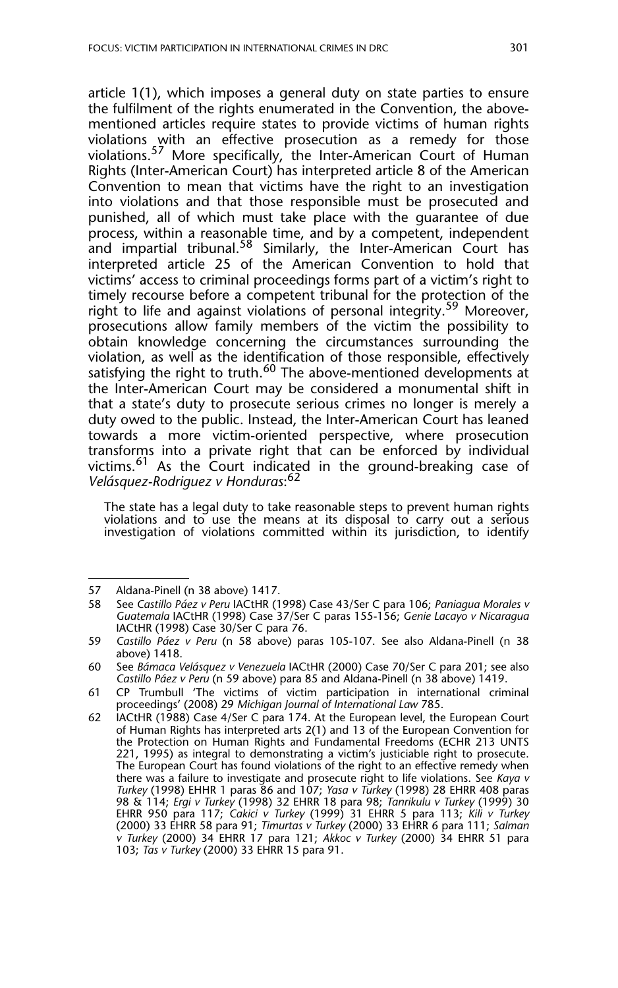article 1(1), which imposes a general duty on state parties to ensure the fulfilment of the rights enumerated in the Convention, the abovementioned articles require states to provide victims of human rights violations with an effective prosecution as a remedy for those violations.57 More specifically, the Inter-American Court of Human Rights (Inter-American Court) has interpreted article 8 of the American Convention to mean that victims have the right to an investigation into violations and that those responsible must be prosecuted and punished, all of which must take place with the guarantee of due process, within a reasonable time, and by a competent, independent and impartial tribunal.<sup>58</sup> Similarly, the Inter-American Court has interpreted article 25 of the American Convention to hold that victims' access to criminal proceedings forms part of a victim's right to timely recourse before a competent tribunal for the protection of the right to life and against violations of personal integrity.<sup>59</sup> Moreover, prosecutions allow family members of the victim the possibility to obtain knowledge concerning the circumstances surrounding the violation, as well as the identification of those responsible, effectively satisfying the right to truth.<sup>60</sup> The above-mentioned developments at the Inter-American Court may be considered a monumental shift in that a state's duty to prosecute serious crimes no longer is merely a duty owed to the public. Instead, the Inter-American Court has leaned towards a more victim-oriented perspective, where prosecution transforms into a private right that can be enforced by individual victims.<sup>61</sup> As the Court indicated in the ground-breaking case of *Velásquez-Rodriguez v Honduras*: 62

The state has a legal duty to take reasonable steps to prevent human rights violations and to use the means at its disposal to carry out a serious investigation of violations committed within its jurisdiction, to identify

<sup>57</sup> Aldana-Pinell (n 38 above) 1417.

<sup>58</sup> See *Castillo Páez v Peru* IACtHR (1998) Case 43/Ser C para 106; *Paniagua Morales v Guatemala* IACtHR (1998) Case 37/Ser C paras 155-156; *Genie Lacayo v Nicaragua* IACtHR (1998) Case 30/Ser C para 76.

<sup>59</sup> *Castillo Páez v Peru* (n 58 above) paras 105-107. See also Aldana-Pinell (n 38 above) 1418.

<sup>60</sup> See *Bámaca Velásquez v Venezuela* IACtHR (2000) Case 70/Ser C para 201; see also *Castillo Páez v Peru* (n 59 above) para 85 and Aldana-Pinell (n 38 above) 1419.

<sup>61</sup> CP Trumbull 'The victims of victim participation in international criminal proceedings' (2008) 29 *Michigan Journal of International Law* 785.

<sup>62</sup> IACtHR (1988) Case 4/Ser C para 174. At the European level, the European Court of Human Rights has interpreted arts 2(1) and 13 of the European Convention for the Protection on Human Rights and Fundamental Freedoms (ECHR 213 UNTS 221, 1995) as integral to demonstrating a victim's justiciable right to prosecute. The European Court has found violations of the right to an effective remedy when there was a failure to investigate and prosecute right to life violations. See *Kaya v Turkey* (1998) EHHR 1 paras 86 and 107; *Yasa v Turkey* (1998) 28 EHRR 408 paras 98 & 114; *Ergi v Turkey* (1998) 32 EHRR 18 para 98; *Tanrikulu v Turkey* (1999) 30 EHRR 950 para 117; *Cakici v Turkey* (1999) 31 EHRR 5 para 113; *Kili v Turkey* (2000) 33 EHRR 58 para 91; *Timurtas v Turkey* (2000) 33 EHRR 6 para 111; *Salman v Turkey* (2000) 34 EHRR 17 para 121; *Akkoc v Turkey* (2000) 34 EHRR 51 para 103; *Tas v Turkey* (2000) 33 EHRR 15 para 91.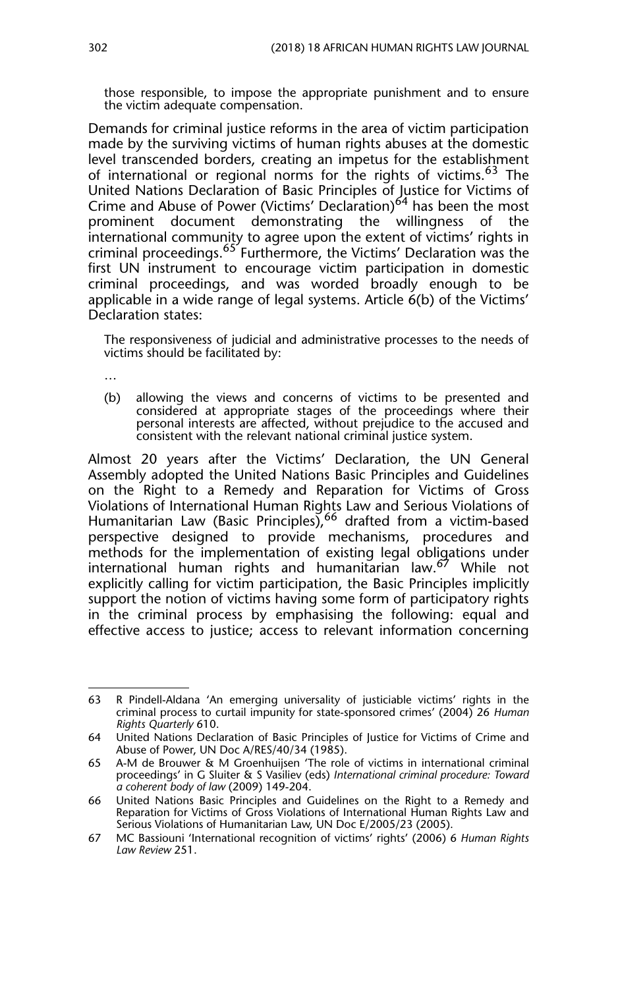those responsible, to impose the appropriate punishment and to ensure the victim adequate compensation.

Demands for criminal justice reforms in the area of victim participation made by the surviving victims of human rights abuses at the domestic level transcended borders, creating an impetus for the establishment of international or regional norms for the rights of victims.<sup>63</sup> The United Nations Declaration of Basic Principles of Justice for Victims of Crime and Abuse of Power (Victims' Declaration)<sup>64</sup> has been the most prominent document demonstrating the willingness of the international community to agree upon the extent of victims' rights in criminal proceedings.<sup>65</sup> Furthermore, the Victims' Declaration was the first UN instrument to encourage victim participation in domestic criminal proceedings, and was worded broadly enough to be applicable in a wide range of legal systems. Article 6(b) of the Victims' Declaration states:

The responsiveness of judicial and administrative processes to the needs of victims should be facilitated by:

…

(b) allowing the views and concerns of victims to be presented and considered at appropriate stages of the proceedings where their personal interests are affected, without prejudice to the accused and consistent with the relevant national criminal justice system.

Almost 20 years after the Victims' Declaration, the UN General Assembly adopted the United Nations Basic Principles and Guidelines on the Right to a Remedy and Reparation for Victims of Gross Violations of International Human Rights Law and Serious Violations of Humanitarian Law (Basic Principles),<sup>66</sup> drafted from a victim-based perspective designed to provide mechanisms, procedures and methods for the implementation of existing legal obligations under international human rights and humanitarian law.67 While not explicitly calling for victim participation, the Basic Principles implicitly support the notion of victims having some form of participatory rights in the criminal process by emphasising the following: equal and effective access to justice; access to relevant information concerning

<sup>63</sup> R Pindell-Aldana 'An emerging universality of justiciable victims' rights in the criminal process to curtail impunity for state-sponsored crimes' (2004) 26 *Human Rights Quarterly* 610.

<sup>64</sup> United Nations Declaration of Basic Principles of Justice for Victims of Crime and Abuse of Power, UN Doc A/RES/40/34 (1985).

<sup>65</sup> A-M de Brouwer & M Groenhuijsen 'The role of victims in international criminal proceedings' in G Sluiter & S Vasiliev (eds) *International criminal procedure: Toward a coherent body of law* (2009) 149-204.

<sup>66</sup> United Nations Basic Principles and Guidelines on the Right to a Remedy and Reparation for Victims of Gross Violations of International Human Rights Law and Serious Violations of Humanitarian Law, UN Doc E/2005/23 (2005).

<sup>67</sup> MC Bassiouni 'International recognition of victims' rights' (2006) 6 *Human Rights Law Review* 251.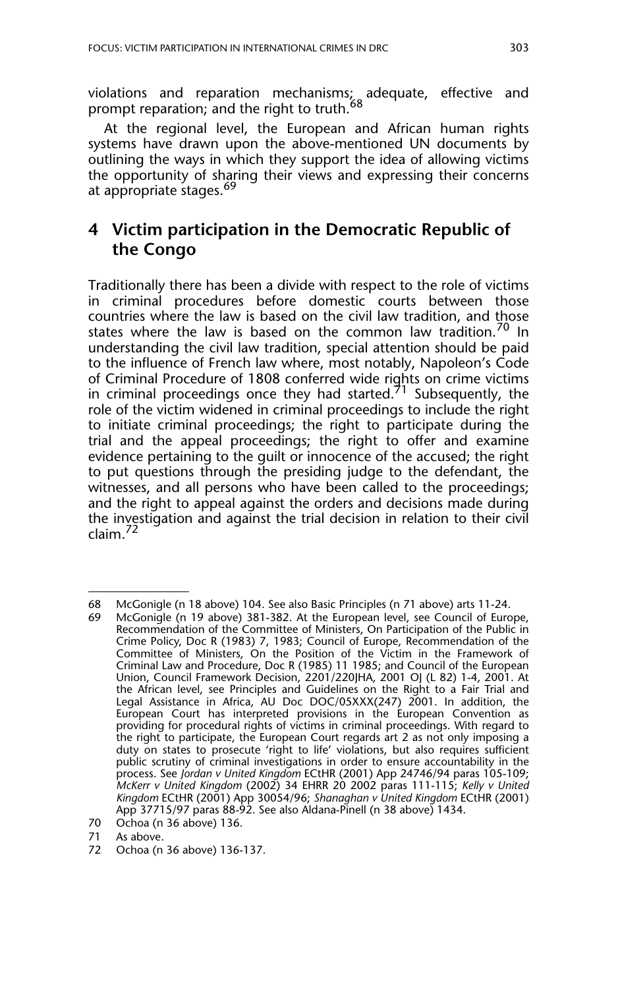violations and reparation mechanisms; adequate, effective and prompt reparation; and the right to truth.<sup>68</sup>

At the regional level, the European and African human rights systems have drawn upon the above-mentioned UN documents by outlining the ways in which they support the idea of allowing victims the opportunity of sharing their views and expressing their concerns at appropriate stages.<sup>69</sup>

# **4 Victim participation in the Democratic Republic of the Congo**

Traditionally there has been a divide with respect to the role of victims in criminal procedures before domestic courts between those countries where the law is based on the civil law tradition, and those states where the law is based on the common law tradition.<sup>70</sup> In understanding the civil law tradition, special attention should be paid to the influence of French law where, most notably, Napoleon's Code of Criminal Procedure of 1808 conferred wide rights on crime victims in criminal proceedings once they had started.<sup>71</sup> Subsequently, the role of the victim widened in criminal proceedings to include the right to initiate criminal proceedings; the right to participate during the trial and the appeal proceedings; the right to offer and examine evidence pertaining to the guilt or innocence of the accused; the right to put questions through the presiding judge to the defendant, the witnesses, and all persons who have been called to the proceedings; and the right to appeal against the orders and decisions made during the investigation and against the trial decision in relation to their civil claim.<sup>72</sup>

<sup>68</sup> McGonigle (n 18 above) 104. See also Basic Principles (n 71 above) arts 11-24.

McGonigle (n 19 above) 381-382. At the European level, see Council of Europe, Recommendation of the Committee of Ministers, On Participation of the Public in Crime Policy, Doc R (1983) 7, 1983; Council of Europe, Recommendation of the Committee of Ministers, On the Position of the Victim in the Framework of Criminal Law and Procedure, Doc R (1985) 11 1985; and Council of the European Union, Council Framework Decision, 2201/220JHA, 2001 OJ (L 82) 1-4, 2001. At the African level, see Principles and Guidelines on the Right to a Fair Trial and Legal Assistance in Africa, AU Doc DOC/05XXX(247) 2001. In addition, the European Court has interpreted provisions in the European Convention as providing for procedural rights of victims in criminal proceedings. With regard to the right to participate, the European Court regards art 2 as not only imposing a duty on states to prosecute 'right to life' violations, but also requires sufficient public scrutiny of criminal investigations in order to ensure accountability in the process. See *Jordan v United Kingdom* ECtHR (2001) App 24746/94 paras 105-109; *McKerr v United Kingdom* (2002) 34 EHRR 20 2002 paras 111-115; *Kelly v United Kingdom* ECtHR (2001) App 30054/96; *Shanaghan v United Kingdom* ECtHR (2001) App 37715/97 paras 88-92. See also Aldana-Pinell (n 38 above) 1434.

<sup>70</sup> Ochoa (n 36 above) 136.

<sup>71</sup> As above.

<sup>72</sup> Ochoa (n 36 above) 136-137.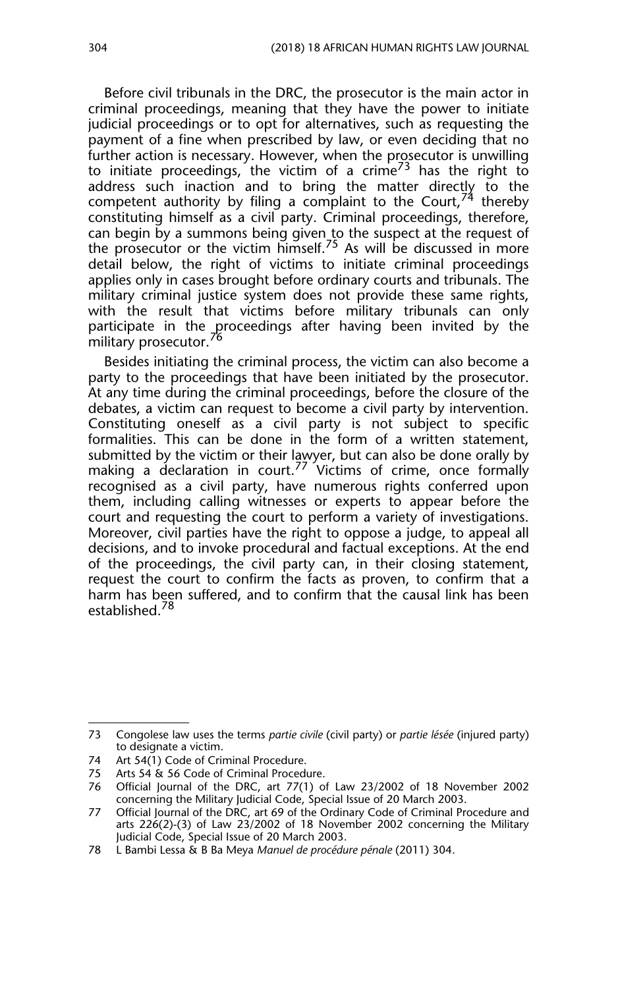Before civil tribunals in the DRC, the prosecutor is the main actor in criminal proceedings, meaning that they have the power to initiate judicial proceedings or to opt for alternatives, such as requesting the payment of a fine when prescribed by law, or even deciding that no further action is necessary. However, when the prosecutor is unwilling to initiate proceedings, the victim of a crime<sup>73</sup> has the right to address such inaction and to bring the matter directly to the competent authority by filing a complaint to the Court, $74$  thereby constituting himself as a civil party. Criminal proceedings, therefore, can begin by a summons being given to the suspect at the request of the prosecutor or the victim himself.<sup>75</sup> As will be discussed in more detail below, the right of victims to initiate criminal proceedings applies only in cases brought before ordinary courts and tribunals. The military criminal justice system does not provide these same rights, with the result that victims before military tribunals can only participate in the proceedings after having been invited by the military prosecutor.<sup>76</sup>

Besides initiating the criminal process, the victim can also become a party to the proceedings that have been initiated by the prosecutor. At any time during the criminal proceedings, before the closure of the debates, a victim can request to become a civil party by intervention. Constituting oneself as a civil party is not subject to specific formalities. This can be done in the form of a written statement, submitted by the victim or their l<u>awy</u>er, but can also be done orally by making a declaration in court.<sup>77</sup> Victims of crime, once formally recognised as a civil party, have numerous rights conferred upon them, including calling witnesses or experts to appear before the court and requesting the court to perform a variety of investigations. Moreover, civil parties have the right to oppose a judge, to appeal all decisions, and to invoke procedural and factual exceptions. At the end of the proceedings, the civil party can, in their closing statement, request the court to confirm the facts as proven, to confirm that a harm has been suffered, and to confirm that the causal link has been established.<sup>78</sup>

<sup>73</sup> Congolese law uses the terms *partie civile* (civil party) or *partie lésée* (injured party) to designate a victim.

<sup>74</sup> Art 54(1) Code of Criminal Procedure.

<sup>75</sup> Arts 54 & 56 Code of Criminal Procedure.<br>76 Official lournal of the DRC, art 77(1) of

<sup>76</sup> Official Journal of the DRC, art 77(1) of Law 23/2002 of 18 November 2002 concerning the Military Judicial Code, Special Issue of 20 March 2003.

<sup>77</sup> Official Journal of the DRC, art 69 of the Ordinary Code of Criminal Procedure and arts 226(2)-(3) of Law 23/2002 of 18 November 2002 concerning the Military Judicial Code, Special Issue of 20 March 2003.

<sup>78</sup> L Bambi Lessa & B Ba Meya *Manuel de procédure pénale* (2011) 304.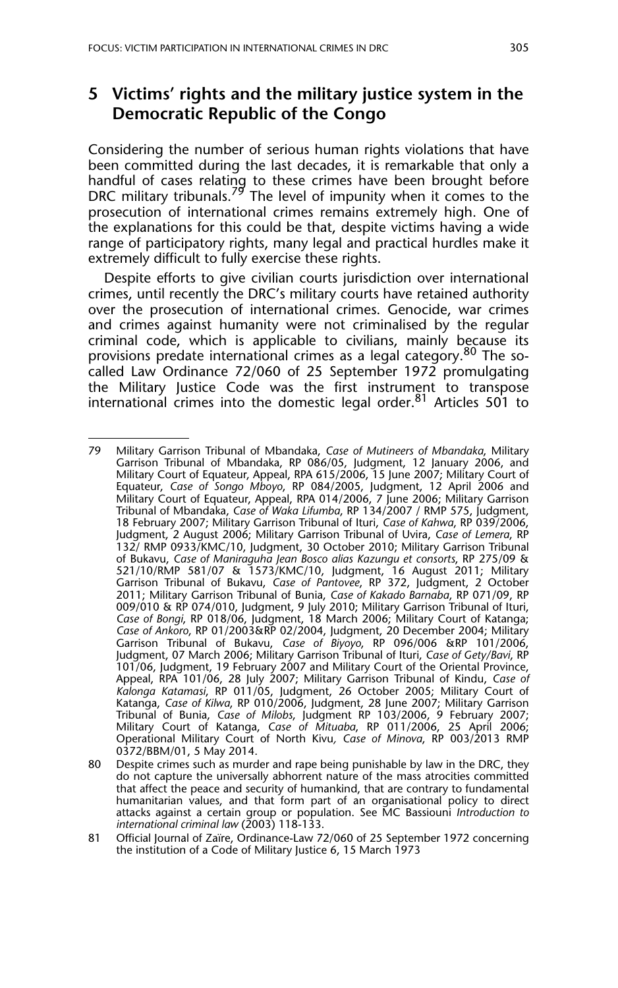#### **5 Victims' rights and the military justice system in the Democratic Republic of the Congo**

Considering the number of serious human rights violations that have been committed during the last decades, it is remarkable that only a handful of cases relating to these crimes have been brought before DRC military tribunals.<sup>79</sup> The level of impunity when it comes to the prosecution of international crimes remains extremely high. One of the explanations for this could be that, despite victims having a wide range of participatory rights, many legal and practical hurdles make it extremely difficult to fully exercise these rights.

Despite efforts to give civilian courts jurisdiction over international crimes, until recently the DRC's military courts have retained authority over the prosecution of international crimes. Genocide, war crimes and crimes against humanity were not criminalised by the regular criminal code, which is applicable to civilians, mainly because its provisions predate international crimes as a legal category.<sup>80</sup> The socalled Law Ordinance 72/060 of 25 September 1972 promulgating the Military Justice Code was the first instrument to transpose international crimes into the domestic legal order.<sup>81</sup> Articles 501 to

<sup>79</sup> Military Garrison Tribunal of Mbandaka, *Case of Mutineers of Mbandaka*, Military Garrison Tribunal of Mbandaka, RP 086/05, Judgment, 12 January 2006, and Military Court of Equateur, Appeal, RPA 615/2006, 15 June 2007; Military Court of Equateur, *Case of Songo Mboyo*, RP 084/2005, Judgment, 12 April 2006 and Military Court of Equateur, Appeal, RPA 014/2006, 7 June 2006; Military Garrison Tribunal of Mbandaka, *Case of Waka Lifumba*, RP 134/2007 / RMP 575, Judgment, 18 February 2007; Military Garrison Tribunal of Ituri, *Case of Kahwa*, RP 039/2006, Judgment, 2 August 2006; Military Garrison Tribunal of Uvira, *Case of Lemera*, RP 132/ RMP 0933/KMC/10, Judgment, 30 October 2010; Military Garrison Tribunal of Bukavu, *Case of Maniraguha Jean Bosco alias Kazungu et consorts*, RP 275/09 & 521/10/RMP 581/07 & 1573/KMC/10, Judgment, 16 August 2011; Military Garrison Tribunal of Bukavu, *Case of Pantovee*, RP 372, Judgment, 2 October 2011; Military Garrison Tribunal of Bunia, *Case of Kakado Barnaba*, RP 071/09, RP 009/010 & RP 074/010, Judgment, 9 July 2010; Military Garrison Tribunal of Ituri, *Case of Bongi*, RP 018/06, Judgment, 18 March 2006; Military Court of Katanga; *Case of Ankoro*, RP 01/2003&RP 02/2004, Judgment, 20 December 2004; Military Garrison Tribunal of Bukavu, *Case of Biyoyo*, RP 096/006 &RP 101/2006, Judgment, 07 March 2006; Military Garrison Tribunal of Ituri, *Case of Gety/Bavi*, RP 101/06, Judgment, 19 February 2007 and Military Court of the Oriental Province, Appeal, RPA 101/06, 28 July 2007; Military Garrison Tribunal of Kindu, *Case of Kalonga Katamasi*, RP 011/05, Judgment, 26 October 2005; Military Court of Katanga, *Case of Kilwa*, RP 010/2006, Judgment, 28 June 2007; Military Garrison Tribunal of Bunia, *Case of Milobs*, Judgment RP 103/2006, 9 February 2007; Military Court of Katanga, *Case of Mituaba*, RP 011/2006, 25 April 2006; Operational Military Court of North Kivu*, Case of Minova*, RP 003/2013 RMP 0372/BBM/01, 5 May 2014.

<sup>80</sup> Despite crimes such as murder and rape being punishable by law in the DRC, they do not capture the universally abhorrent nature of the mass atrocities committed that affect the peace and security of humankind, that are contrary to fundamental humanitarian values, and that form part of an organisational policy to direct attacks against a certain group or population. See MC Bassiouni *Introduction to international criminal law* (2003) 118-133.

<sup>81</sup> Official Journal of Zaïre, Ordinance-Law 72/060 of 25 September 1972 concerning the institution of a Code of Military Justice 6, 15 March 1973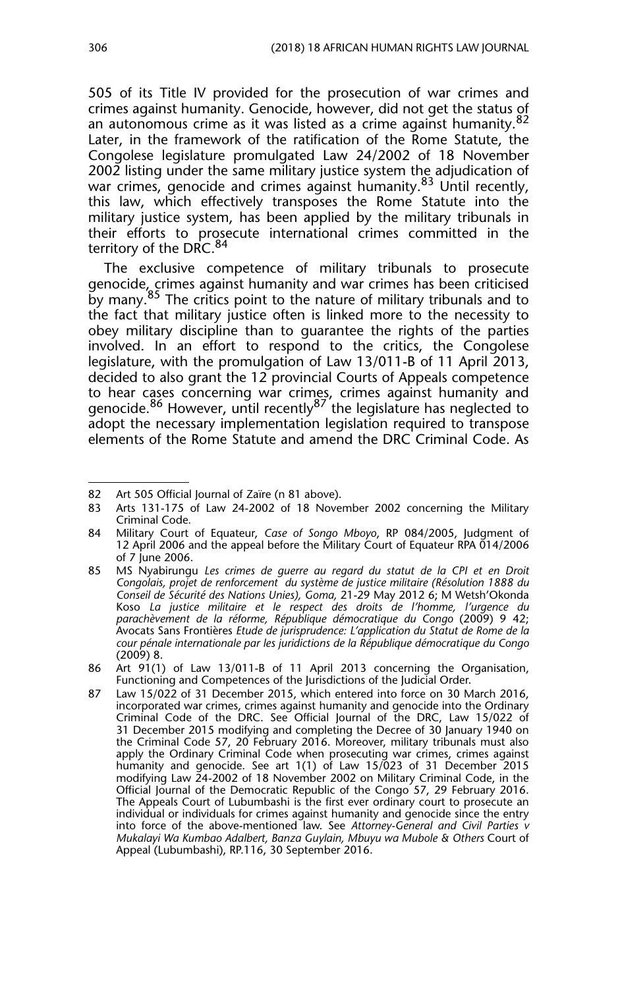505 of its Title IV provided for the prosecution of war crimes and crimes against humanity. Genocide, however, did not get the status of an autonomous crime as it was listed as a crime against humanity.<sup>82</sup> Later, in the framework of the ratification of the Rome Statute, the Congolese legislature promulgated Law 24/2002 of 18 November 2002 listing under the same military justice system the adjudication of war crimes, genocide and crimes against humanity.<sup>83</sup> Until recently, this law, which effectively transposes the Rome Statute into the military justice system, has been applied by the military tribunals in their efforts to prosecute international crimes committed in the territory of the DRC.<sup>84</sup>

The exclusive competence of military tribunals to prosecute genocide, crimes against humanity and war crimes has been criticised by many.<sup>85</sup> The critics point to the nature of military tribunals and to the fact that military justice often is linked more to the necessity to obey military discipline than to guarantee the rights of the parties involved. In an effort to respond to the critics, the Congolese legislature, with the promulgation of Law 13/011-B of 11 April 2013, decided to also grant the 12 provincial Courts of Appeals competence to hear cases concerning war crimes, crimes against humanity and genocide.<sup>86</sup> However, until recently<sup>87</sup> the legislature has neglected to adopt the necessary implementation legislation required to transpose elements of the Rome Statute and amend the DRC Criminal Code. As

<sup>82</sup> Art 505 Official Journal of Zaïre (n 81 above).

<sup>83</sup> Arts 131-175 of Law 24-2002 of 18 November 2002 concerning the Military Criminal Code*.*

<sup>84</sup> Military Court of Equateur, *Case of Songo Mboyo*, RP 084/2005, Judgment of 12 April 2006 and the appeal before the Military Court of Equateur RPA 014/2006 of 7 June 2006.

<sup>85</sup> MS Nyabirungu *Les crimes de guerre au regard du statut de la CPI et en Droit Congolais, projet de renforcement du système de justice militaire (Résolution 1888 du Conseil de Sécurité des Nations Unies), Goma,* 21-29 May 2012 6; M Wetsh'Okonda Koso *La justice militaire et le respect des droits de l'homme, l'urgence du parachèvement de la réforme, République démocratique du Congo* (2009) 9 42; Avocats Sans Frontières *Etude de jurisprudence: L'application du Statut de Rome de la cour pénale internationale par les juridictions de la République démocratique du Congo* (2009) 8.

<sup>86</sup> Art 91(1) of Law 13/011-B of 11 April 2013 concerning the Organisation, Functioning and Competences of the Jurisdictions of the Judicial Order.

<sup>87</sup> Law 15/022 of 31 December 2015, which entered into force on 30 March 2016, incorporated war crimes, crimes against humanity and genocide into the Ordinary Criminal Code of the DRC. See Official Journal of the DRC, Law 15/022 of 31 December 2015 modifying and completing the Decree of 30 January 1940 on the Criminal Code 57, 20 February 2016. Moreover, military tribunals must also apply the Ordinary Criminal Code when prosecuting war crimes, crimes against humanity and genocide. See art 1(1) of Law 15/023 of 31 December 2015 modifying Law 24-2002 of 18 November 2002 on Military Criminal Code, in the Official Journal of the Democratic Republic of the Congo 57, 29 February 2016. The Appeals Court of Lubumbashi is the first ever ordinary court to prosecute an individual or individuals for crimes against humanity and genocide since the entry into force of the above-mentioned law. See *Attorney-General and Civil Parties v Mukalayi Wa Kumbao Adalbert, Banza Guylain, Mbuyu wa Mubole & Others* Court of Appeal (Lubumbashi), RP.116, 30 September 2016.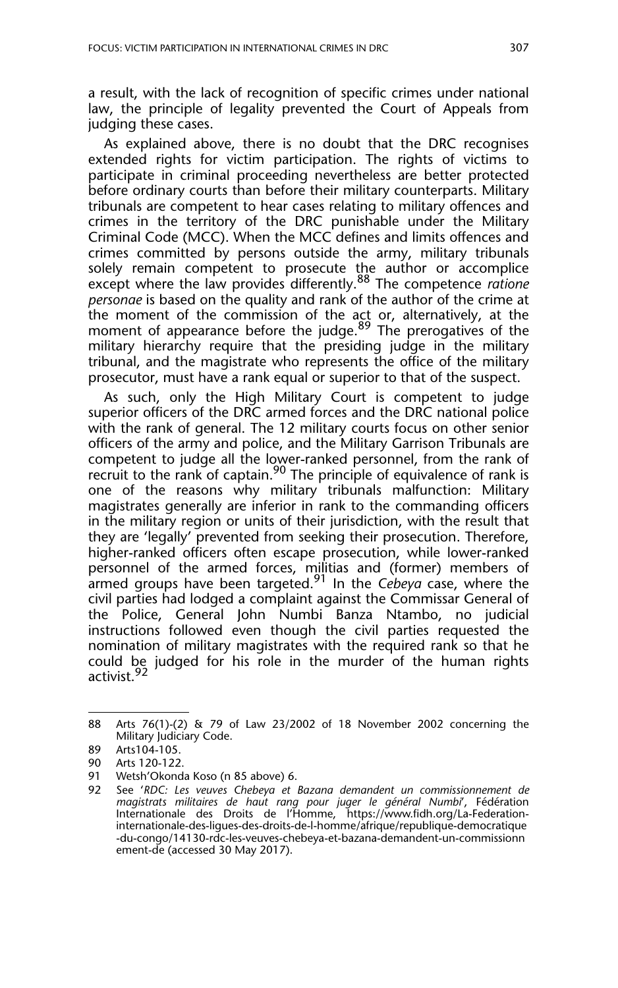a result, with the lack of recognition of specific crimes under national law, the principle of legality prevented the Court of Appeals from judging these cases.

As explained above, there is no doubt that the DRC recognises extended rights for victim participation. The rights of victims to participate in criminal proceeding nevertheless are better protected before ordinary courts than before their military counterparts. Military tribunals are competent to hear cases relating to military offences and crimes in the territory of the DRC punishable under the Military Criminal Code (MCC). When the MCC defines and limits offences and crimes committed by persons outside the army, military tribunals solely remain competent to prosecute the author or accomplice except where the law provides differently.88 The competence *ratione personae* is based on the quality and rank of the author of the crime at the moment of the commission of the act or, alternatively, at the moment of appearance before the judge.<sup>89</sup> The prerogatives of the military hierarchy require that the presiding judge in the military tribunal, and the magistrate who represents the office of the military prosecutor, must have a rank equal or superior to that of the suspect.

As such, only the High Military Court is competent to judge superior officers of the DRC armed forces and the DRC national police with the rank of general. The 12 military courts focus on other senior officers of the army and police, and the Military Garrison Tribunals are competent to judge all the lower-ranked personnel, from the rank of recruit to the rank of captain.<sup>90</sup> The principle of equivalence of rank is one of the reasons why military tribunals malfunction: Military magistrates generally are inferior in rank to the commanding officers in the military region or units of their jurisdiction, with the result that they are 'legally' prevented from seeking their prosecution. Therefore, higher-ranked officers often escape prosecution, while lower-ranked personnel of the armed forces, militias and (former) members of armed groups have been targeted.91 In the *Cebeya* case, where the civil parties had lodged a complaint against the Commissar General of the Police, General John Numbi Banza Ntambo, no judicial instructions followed even though the civil parties requested the nomination of military magistrates with the required rank so that he could be judged for his role in the murder of the human rights activist.<sup>92</sup>

<sup>88</sup> Arts 76(1)-(2) & 79 of Law 23/2002 of 18 November 2002 concerning the Military Judiciary Code.

<sup>89</sup> Arts104-105.

<sup>90</sup> Arts 120-122.

<sup>91</sup> Wetsh'Okonda Koso (n 85 above) 6.

<sup>92</sup> See '*RDC: Les veuves Chebeya et Bazana demandent un commissionnement de magistrats militaires de haut rang pour juger le général Numbi*', Fédération Internationale des Droits de l'Homme, https://www.fidh.org/La-Federationinternationale-des-ligues-des-droits-de-l-homme/afrique/republique-democratique -du-congo/14130-rdc-les-veuves-chebeya-et-bazana-demandent-un-commissionn ement-de (accessed 30 May 2017).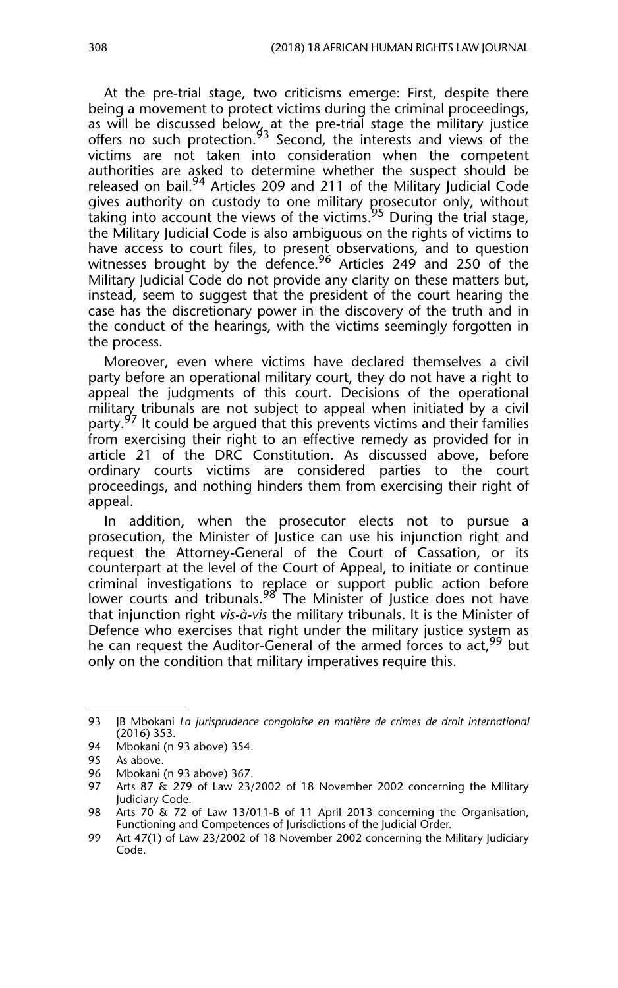At the pre-trial stage, two criticisms emerge: First, despite there being a movement to protect victims during the criminal proceedings, as will be discussed below, at the pre-trial stage the military justice offers no such protection.<sup>93</sup> Second, the interests and views of the victims are not taken into consideration when the competent authorities are asked to determine whether the suspect should be released on bail.<sup>94</sup> Articles 209 and 211 of the Military Judicial Code gives authority on custody to one military prosecutor only, without taking into account the views of the victims.<sup>95</sup> During the trial stage, the Military Judicial Code is also ambiguous on the rights of victims to have access to court files, to present observations, and to question witnesses brought by the defence.<sup>96</sup> Articles 249 and 250 of the Military Judicial Code do not provide any clarity on these matters but, instead, seem to suggest that the president of the court hearing the case has the discretionary power in the discovery of the truth and in the conduct of the hearings, with the victims seemingly forgotten in the process.

Moreover, even where victims have declared themselves a civil party before an operational military court, they do not have a right to appeal the judgments of this court. Decisions of the operational military tribunals are not subject to appeal when initiated by a civil party.<sup>97</sup> It could be argued that this prevents victims and their families from exercising their right to an effective remedy as provided for in article 21 of the DRC Constitution. As discussed above, before ordinary courts victims are considered parties to the court proceedings, and nothing hinders them from exercising their right of appeal.

In addition, when the prosecutor elects not to pursue a prosecution, the Minister of Justice can use his injunction right and request the Attorney-General of the Court of Cassation, or its counterpart at the level of the Court of Appeal, to initiate or continue criminal investigations to replace or support public action before lower courts and tribunals.<sup>98</sup> The Minister of Justice does not have that injunction right *vis-à-vis* the military tribunals. It is the Minister of Defence who exercises that right under the military justice system as he can request the Auditor-General of the armed forces to act, <sup>99</sup> but only on the condition that military imperatives require this.

<sup>93</sup> JB Mbokani *La jurisprudence congolaise en matière de crimes de droit international* (2016) 353.

<sup>94</sup> Mbokani (n 93 above) 354.

<sup>95</sup> As above.

<sup>96</sup> Mbokani (n 93 above) 367.

Arts 87 & 279 of Law 23/2002 of 18 November 2002 concerning the Military Judiciary Code.

<sup>98</sup> Arts 70 & 72 of Law 13/011-B of 11 April 2013 concerning the Organisation, Functioning and Competences of Jurisdictions of the Judicial Order*.*

<sup>99</sup> Art 47(1) of Law 23/2002 of 18 November 2002 concerning the Military Judiciary Code.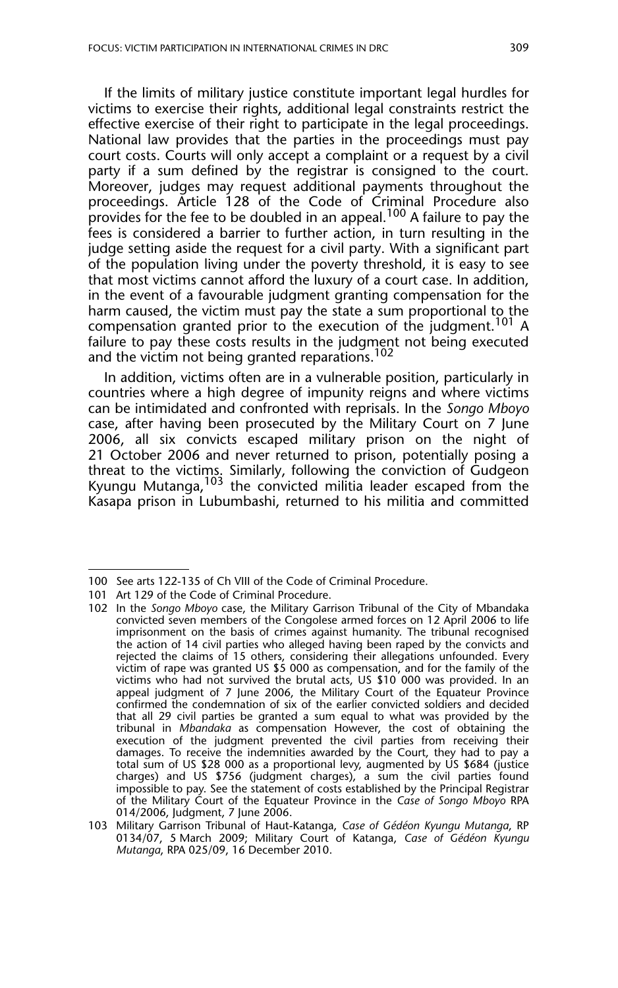If the limits of military justice constitute important legal hurdles for victims to exercise their rights, additional legal constraints restrict the effective exercise of their right to participate in the legal proceedings. National law provides that the parties in the proceedings must pay court costs. Courts will only accept a complaint or a request by a civil party if a sum defined by the registrar is consigned to the court. Moreover, judges may request additional payments throughout the proceedings. Article 128 of the Code of Criminal Procedure also provides for the fee to be doubled in an appeal.<sup>100</sup> A failure to pay the fees is considered a barrier to further action, in turn resulting in the judge setting aside the request for a civil party. With a significant part of the population living under the poverty threshold, it is easy to see that most victims cannot afford the luxury of a court case. In addition, in the event of a favourable judgment granting compensation for the harm caused, the victim must pay the state a sum proportional to the compensation granted prior to the execution of the judgment.<sup>101</sup> A failure to pay these costs results in the judgment not being executed and the victim not being granted reparations.<sup>102</sup>

In addition, victims often are in a vulnerable position, particularly in countries where a high degree of impunity reigns and where victims can be intimidated and confronted with reprisals. In the *Songo Mboyo* case, after having been prosecuted by the Military Court on 7 June 2006, all six convicts escaped military prison on the night of 21 October 2006 and never returned to prison, potentially posing a threat to the victims. Similarly, following the conviction of Gudgeon Kyungu Mutanga, <sup>103</sup> the convicted militia leader escaped from the Kasapa prison in Lubumbashi, returned to his militia and committed

<sup>100</sup> See arts 122-135 of Ch VIII of the Code of Criminal Procedure.

<sup>101</sup> Art 129 of the Code of Criminal Procedure.

<sup>102</sup> In the *Songo Mboyo* case, the Military Garrison Tribunal of the City of Mbandaka convicted seven members of the Congolese armed forces on 12 April 2006 to life imprisonment on the basis of crimes against humanity. The tribunal recognised the action of 14 civil parties who alleged having been raped by the convicts and rejected the claims of 15 others, considering their allegations unfounded. Every victim of rape was granted US \$5 000 as compensation, and for the family of the victims who had not survived the brutal acts, US \$10 000 was provided. In an appeal judgment of 7 June 2006, the Military Court of the Equateur Province confirmed the condemnation of six of the earlier convicted soldiers and decided that all 29 civil parties be granted a sum equal to what was provided by the tribunal in *Mbandaka* as compensation However, the cost of obtaining the execution of the judgment prevented the civil parties from receiving their damages. To receive the indemnities awarded by the Court, they had to pay a total sum of US \$28 000 as a proportional levy, augmented by US \$684 (justice charges) and US \$756 (judgment charges), a sum the civil parties found impossible to pay. See the statement of costs established by the Principal Registrar of the Military Court of the Equateur Province in the *Case of Songo Mboyo* RPA 014/2006, Judgment, 7 June 2006.

<sup>103</sup> Military Garrison Tribunal of Haut-Katanga, *Case of Gédéon Kyungu Mutanga*, RP 0134/07, 5 March 2009; Military Court of Katanga, *Case of Gédéon Kyungu Mutanga*, RPA 025/09, 16 December 2010.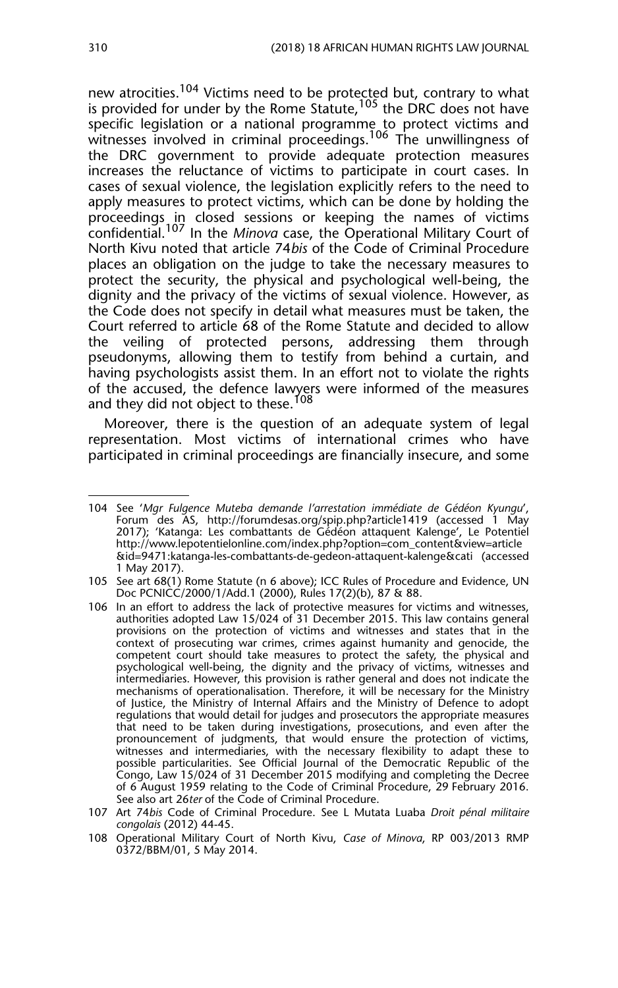new atrocities.<sup>104</sup> Victims need to be protected but, contrary to what is provided for under by the Rome Statute.<sup>105</sup> the DRC does not have specific legislation or a national programme to protect victims and witnesses involved in criminal proceedings.<sup>106</sup> The unwillingness of the DRC government to provide adequate protection measures increases the reluctance of victims to participate in court cases. In cases of sexual violence, the legislation explicitly refers to the need to apply measures to protect victims, which can be done by holding the proceedings in closed sessions or keeping the names of victims confidential.107 In the *Minova* case, the Operational Military Court of North Kivu noted that article 74*bis* of the Code of Criminal Procedure places an obligation on the judge to take the necessary measures to protect the security, the physical and psychological well-being, the dignity and the privacy of the victims of sexual violence. However, as the Code does not specify in detail what measures must be taken, the Court referred to article 68 of the Rome Statute and decided to allow the veiling of protected persons, addressing them through pseudonyms, allowing them to testify from behind a curtain, and having psychologists assist them. In an effort not to violate the rights of the accused, the defence lawyers were informed of the measures and they did not object to these.<sup>108</sup>

Moreover, there is the question of an adequate system of legal representation. Most victims of international crimes who have participated in criminal proceedings are financially insecure, and some

<sup>104</sup> See '*Mgr Fulgence Muteba demande l'arrestation immédiate de Gédéon Kyungu*', Forum des AS, http://forumdesas.org/spip.php?article1419 (accessed 1 May 2017); 'Katanga: Les combattants de Gédéon attaquent Kalenge', Le Potentiel http://www.lepotentielonline.com/index.php?option=com\_content&view=article &id=9471:katanga-les-combattants-de-gedeon-attaquent-kalenge&cati (accessed 1 May 2017).

<sup>105</sup> See art 68(1) Rome Statute (n 6 above); ICC Rules of Procedure and Evidence, UN Doc PCNICC/2000/1/Add.1 (2000), Rules 17(2)(b), 87 & 88.

<sup>106</sup> In an effort to address the lack of protective measures for victims and witnesses, authorities adopted Law 15/024 of 31 December 2015. This law contains general provisions on the protection of victims and witnesses and states that in the context of prosecuting war crimes, crimes against humanity and genocide, the competent court should take measures to protect the safety, the physical and psychological well-being, the dignity and the privacy of victims, witnesses and intermediaries. However, this provision is rather general and does not indicate the mechanisms of operationalisation. Therefore, it will be necessary for the Ministry of Justice, the Ministry of Internal Affairs and the Ministry of Defence to adopt regulations that would detail for judges and prosecutors the appropriate measures that need to be taken during investigations, prosecutions, and even after the pronouncement of judgments, that would ensure the protection of victims, witnesses and intermediaries, with the necessary flexibility to adapt these to possible particularities. See Official Journal of the Democratic Republic of the Congo, Law 15/024 of 31 December 2015 modifying and completing the Decree of 6 August 1959 relating to the Code of Criminal Procedure, 29 February 2016. See also art 26*ter* of the Code of Criminal Procedure.

<sup>107</sup> Art 74*bis* Code of Criminal Procedure. See L Mutata Luaba *Droit pénal militaire congolais* (2012) 44-45.

<sup>108</sup> Operational Military Court of North Kivu, *Case of Minova*, RP 003/2013 RMP 0372/BBM/01, 5 May 2014.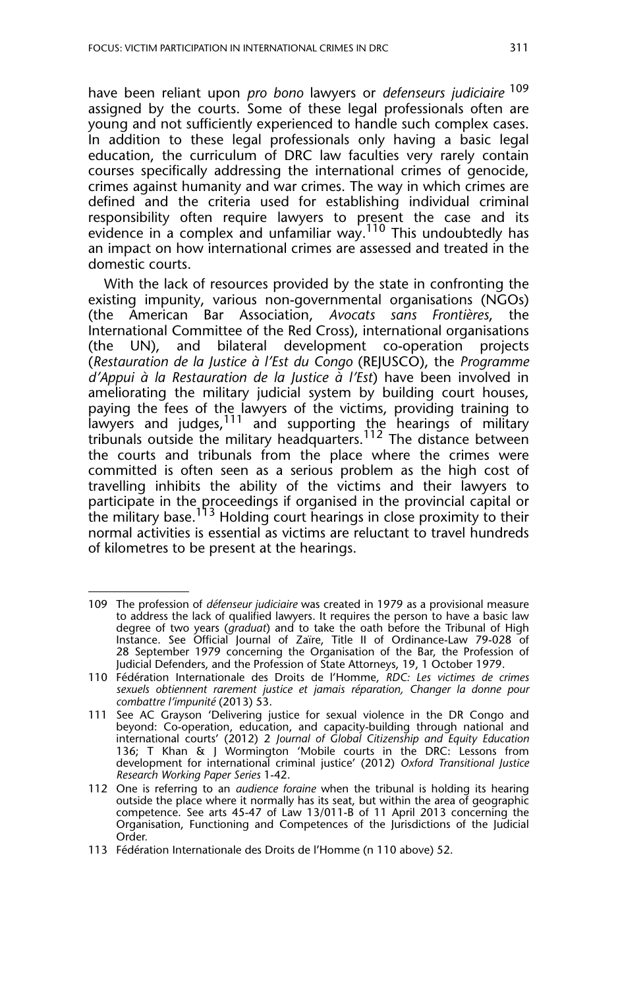have been reliant upon *pro bono* lawyers or *defenseurs judiciaire*<sup>109</sup> assigned by the courts. Some of these legal professionals often are young and not sufficiently experienced to handle such complex cases. In addition to these legal professionals only having a basic legal education, the curriculum of DRC law faculties very rarely contain courses specifically addressing the international crimes of genocide, crimes against humanity and war crimes. The way in which crimes are defined and the criteria used for establishing individual criminal responsibility often require lawyers to present the case and its evidence in a complex and unfamiliar way.<sup>110</sup> This undoubtedly has an impact on how international crimes are assessed and treated in the domestic courts.

With the lack of resources provided by the state in confronting the existing impunity, various non-governmental organisations (NGOs) (the American Bar Association, *Avocats sans Frontières*, the International Committee of the Red Cross), international organisations (the UN), and bilateral development co-operation projects (*Restauration de la Justice à l'Est du Congo* (REJUSCO), the *Programme d'Appui à la Restauration de la Justice à l'Est*) have been involved in ameliorating the military judicial system by building court houses, paying the fees of the lawyers of the victims, providing training to lawyers and judges, <sup>111</sup> and supporting the hearings of military tribunals outside the military headquarters.<sup>112</sup> The distance between the courts and tribunals from the place where the crimes were committed is often seen as a serious problem as the high cost of travelling inhibits the ability of the victims and their lawyers to participate in the proceedings if organised in the provincial capital or the military base.<sup>113</sup> Holding court hearings in close proximity to their normal activities is essential as victims are reluctant to travel hundreds of kilometres to be present at the hearings.

<sup>109</sup> The profession of *défenseur judiciaire* was created in 1979 as a provisional measure to address the lack of qualified lawyers. It requires the person to have a basic law degree of two years (*graduat*) and to take the oath before the Tribunal of High Instance. See Official Journal of Zaïre, Title II of Ordinance-Law 79-028 of 28 September 1979 concerning the Organisation of the Bar, the Profession of Judicial Defenders, and the Profession of State Attorneys, 19, 1 October 1979.

<sup>110</sup> Fédération Internationale des Droits de l'Homme, *RDC: Les victimes de crimes sexuels obtiennent rarement justice et jamais réparation, Changer la donne pour combattre l'impunité* (2013) 53.

<sup>111</sup> See AC Grayson 'Delivering justice for sexual violence in the DR Congo and beyond: Co-operation, education, and capacity-building through national and international courts' (2012) 2 *Journal of Global Citizenship and Equity Education* 136; T Khan & J Wormington 'Mobile courts in the DRC: Lessons from development for international criminal justice' (2012) *Oxford Transitional Justice Research Working Paper Series* 1-42.

<sup>112</sup> One is referring to an *audience foraine* when the tribunal is holding its hearing outside the place where it normally has its seat, but within the area of geographic competence. See arts 45-47 of Law 13/011-B of 11 April 2013 concerning the Organisation, Functioning and Competences of the Jurisdictions of the Judicial Order*.*

<sup>113</sup> Fédération Internationale des Droits de l'Homme (n 110 above) 52.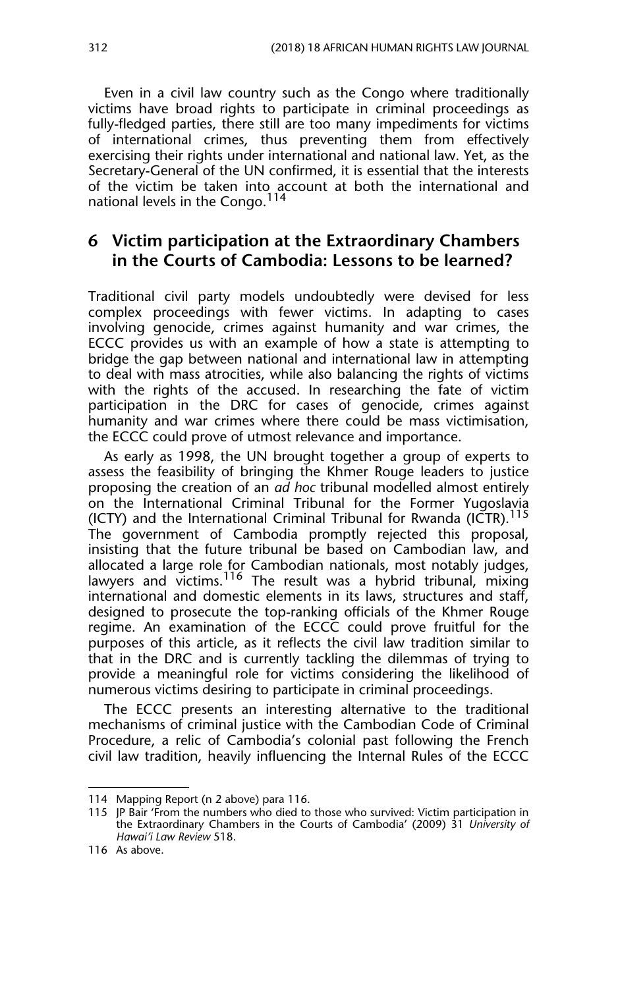Even in a civil law country such as the Congo where traditionally victims have broad rights to participate in criminal proceedings as fully-fledged parties, there still are too many impediments for victims of international crimes, thus preventing them from effectively exercising their rights under international and national law. Yet, as the Secretary-General of the UN confirmed, it is essential that the interests of the victim be taken into account at both the international and national levels in the Congo.<sup>114</sup>

#### **6 Victim participation at the Extraordinary Chambers in the Courts of Cambodia: Lessons to be learned?**

Traditional civil party models undoubtedly were devised for less complex proceedings with fewer victims. In adapting to cases involving genocide, crimes against humanity and war crimes, the ECCC provides us with an example of how a state is attempting to bridge the gap between national and international law in attempting to deal with mass atrocities, while also balancing the rights of victims with the rights of the accused. In researching the fate of victim participation in the DRC for cases of genocide, crimes against humanity and war crimes where there could be mass victimisation, the ECCC could prove of utmost relevance and importance.

As early as 1998, the UN brought together a group of experts to assess the feasibility of bringing the Khmer Rouge leaders to justice proposing the creation of an *ad hoc* tribunal modelled almost entirely on the International Criminal Tribunal for the Former Yugoslavia (ICTY) and the International Criminal Tribunal for Rwanda (ICTR).<sup>115</sup> The government of Cambodia promptly rejected this proposal, insisting that the future tribunal be based on Cambodian law, and allocated a large role for Cambodian nationals, most notably judges, lawyers and victims.<sup>116</sup> The result was a hybrid tribunal, mixing international and domestic elements in its laws, structures and staff, designed to prosecute the top-ranking officials of the Khmer Rouge regime. An examination of the ECCC could prove fruitful for the purposes of this article, as it reflects the civil law tradition similar to that in the DRC and is currently tackling the dilemmas of trying to provide a meaningful role for victims considering the likelihood of numerous victims desiring to participate in criminal proceedings.

The ECCC presents an interesting alternative to the traditional mechanisms of criminal justice with the Cambodian Code of Criminal Procedure, a relic of Cambodia's colonial past following the French civil law tradition, heavily influencing the Internal Rules of the ECCC

<sup>114</sup> Mapping Report (n 2 above) para 116.

<sup>115</sup> JP Bair 'From the numbers who died to those who survived: Victim participation in the Extraordinary Chambers in the Courts of Cambodia' (2009) 31 *University of Hawai'i Law Review* 518.

<sup>116</sup> As above.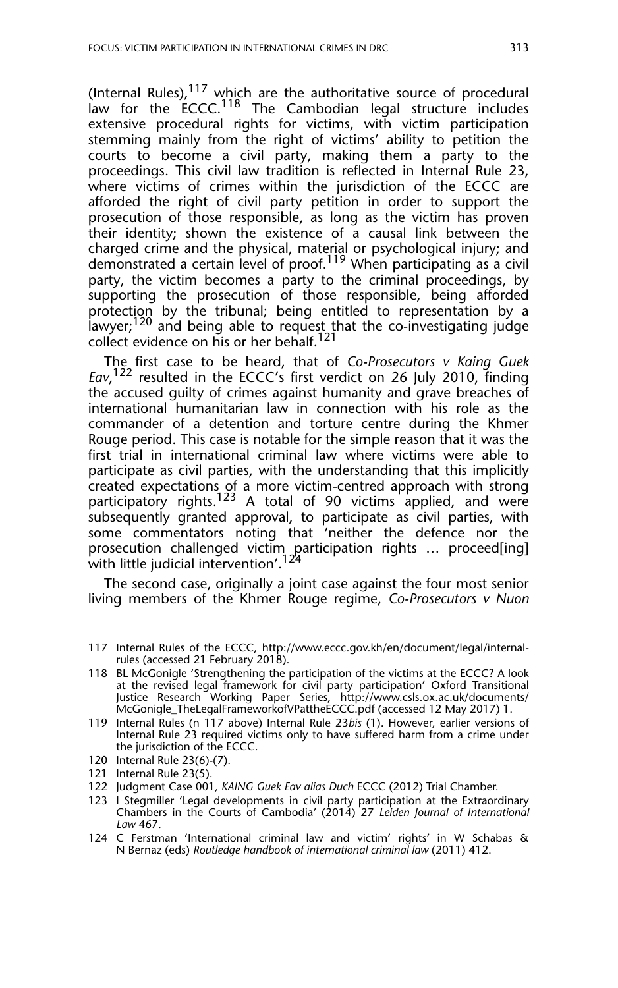(Internal Rules),  $117$  which are the authoritative source of procedural law for the  $ECCC$ .<sup>118</sup> The Cambodian legal structure includes extensive procedural rights for victims, with victim participation stemming mainly from the right of victims' ability to petition the courts to become a civil party, making them a party to the proceedings. This civil law tradition is reflected in Internal Rule 23, where victims of crimes within the jurisdiction of the ECCC are afforded the right of civil party petition in order to support the prosecution of those responsible, as long as the victim has proven their identity; shown the existence of a causal link between the charged crime and the physical, material or psychological injury; and demonstrated a certain level of proof.119 When participating as a civil party, the victim becomes a party to the criminal proceedings, by supporting the prosecution of those responsible, being afforded protection by the tribunal; being entitled to representation by a lawyer;<sup>120</sup> and being able to request that the co-investigating judge collect evidence on his or her behalf.<sup>121</sup>

The first case to be heard, that of *Co-Prosecutors v Kaing Guek Eav*, 122 resulted in the ECCC's first verdict on 26 July 2010, finding the accused guilty of crimes against humanity and grave breaches of international humanitarian law in connection with his role as the commander of a detention and torture centre during the Khmer Rouge period. This case is notable for the simple reason that it was the first trial in international criminal law where victims were able to participate as civil parties, with the understanding that this implicitly created expectations of a more victim-centred approach with strong participatory rights.<sup>123</sup> A total of 90 victims applied, and were subsequently granted approval, to participate as civil parties, with some commentators noting that 'neither the defence nor the prosecution challenged victim participation rights … proceed[ing] .<br>with little judicial intervention'.<sup>124</sup>

The second case, originally a joint case against the four most senior living members of the Khmer Rouge regime, *Co-Prosecutors v Nuon*

<sup>117</sup> Internal Rules of the ECCC, http://www.eccc.gov.kh/en/document/legal/internalrules (accessed 21 February 2018).

<sup>118</sup> BL McGonigle 'Strengthening the participation of the victims at the ECCC? A look at the revised legal framework for civil party participation' Oxford Transitional Justice Research Working Paper Series, http://www.csls.ox.ac.uk/documents/ McGonigle\_TheLegalFrameworkofVPattheECCC.pdf (accessed 12 May 2017) 1.

<sup>119</sup> Internal Rules (n 117 above) Internal Rule 23*bis* (1). However, earlier versions of Internal Rule 23 required victims only to have suffered harm from a crime under the jurisdiction of the ECCC.

<sup>120</sup> Internal Rule 23(6)-(7).

<sup>121</sup> Internal Rule 23(5).

<sup>122</sup> Judgment Case 001*, KAING Guek Eav alias Duch* ECCC (2012) Trial Chamber.

<sup>123</sup> I Stegmiller 'Legal developments in civil party participation at the Extraordinary Chambers in the Courts of Cambodia' (2014) 27 *Leiden Journal of International Law* 467.

<sup>124</sup> C Ferstman 'International criminal law and victim' rights' in W Schabas & N Bernaz (eds) *Routledge handbook of international criminal law* (2011) 412.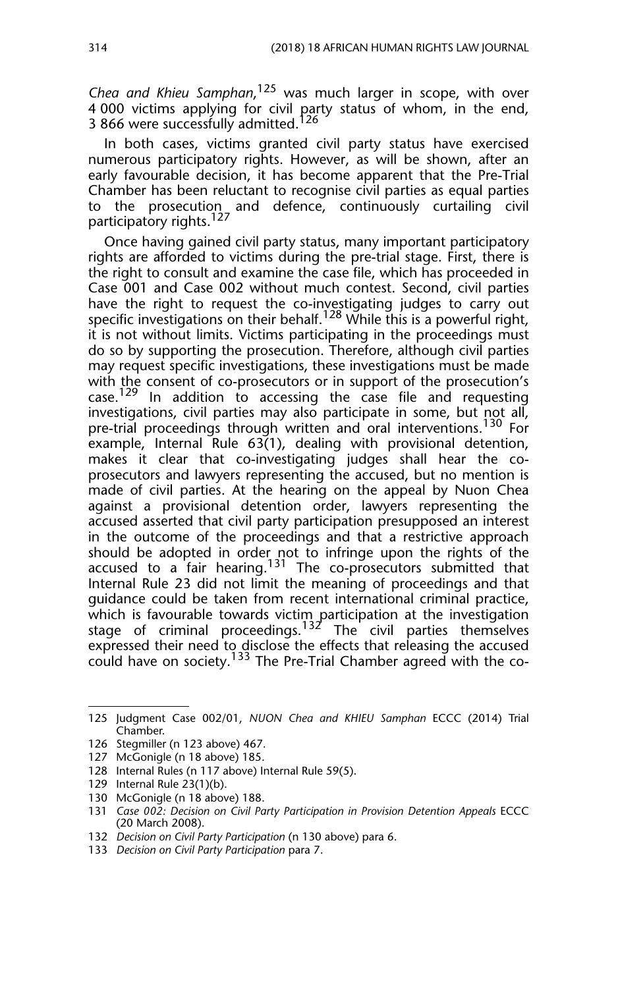*Chea and Khieu Samphan*, 125 was much larger in scope, with over 4 000 victims applying for civil party status of whom, in the end, 3 866 were successfully admitted.<sup>126</sup>

In both cases, victims granted civil party status have exercised numerous participatory rights. However, as will be shown, after an early favourable decision, it has become apparent that the Pre-Trial Chamber has been reluctant to recognise civil parties as equal parties to the prosecution and defence, continuously curtailing civil participatory rights.<sup>127</sup>

Once having gained civil party status, many important participatory rights are afforded to victims during the pre-trial stage. First, there is the right to consult and examine the case file, which has proceeded in Case 001 and Case 002 without much contest. Second, civil parties have the right to request the co-investigating judges to carry out specific investigations on their behalf.<sup>128</sup> While this is a powerful right, it is not without limits. Victims participating in the proceedings must do so by supporting the prosecution. Therefore, although civil parties may request specific investigations, these investigations must be made with the consent of co-prosecutors or in support of the prosecution's case.<sup>129</sup> In addition to accessing the case file and requesting investigations, civil parties may also participate in some, but not all, pre-trial proceedings through written and oral interventions.<sup>130</sup> For example, Internal Rule 63(1), dealing with provisional detention, makes it clear that co-investigating judges shall hear the coprosecutors and lawyers representing the accused, but no mention is made of civil parties. At the hearing on the appeal by Nuon Chea against a provisional detention order, lawyers representing the accused asserted that civil party participation presupposed an interest in the outcome of the proceedings and that a restrictive approach should be adopted in order not to infringe upon the rights of the accused to a fair hearing.<sup>131</sup> The co-prosecutors submitted that Internal Rule 23 did not limit the meaning of proceedings and that guidance could be taken from recent international criminal practice, which is favourable towards victim participation at the investigation stage of criminal proceedings.<sup>132</sup> The civil parties themselves expressed their need to disclose the effects that releasing the accused could have on society.<sup>133</sup> The Pre-Trial Chamber agreed with the co-

- 129 Internal Rule 23(1)(b).
- 130 McGonigle (n 18 above) 188.

132 *Decision on Civil Party Participation* (n 130 above) para 6.

<sup>125</sup> Judgment Case 002/01, *NUON Chea and KHIEU Samphan* ECCC (2014) Trial Chamber.

<sup>126</sup> Stegmiller (n 123 above) 467.

<sup>127</sup> McGonigle (n 18 above) 185.

<sup>128</sup> Internal Rules (n 117 above) Internal Rule 59(5).

<sup>131</sup> *Case 002: Decision on Civil Party Participation in Provision Detention Appeals* ECCC (20 March 2008).

<sup>133</sup> *Decision on Civil Party Participation* para 7.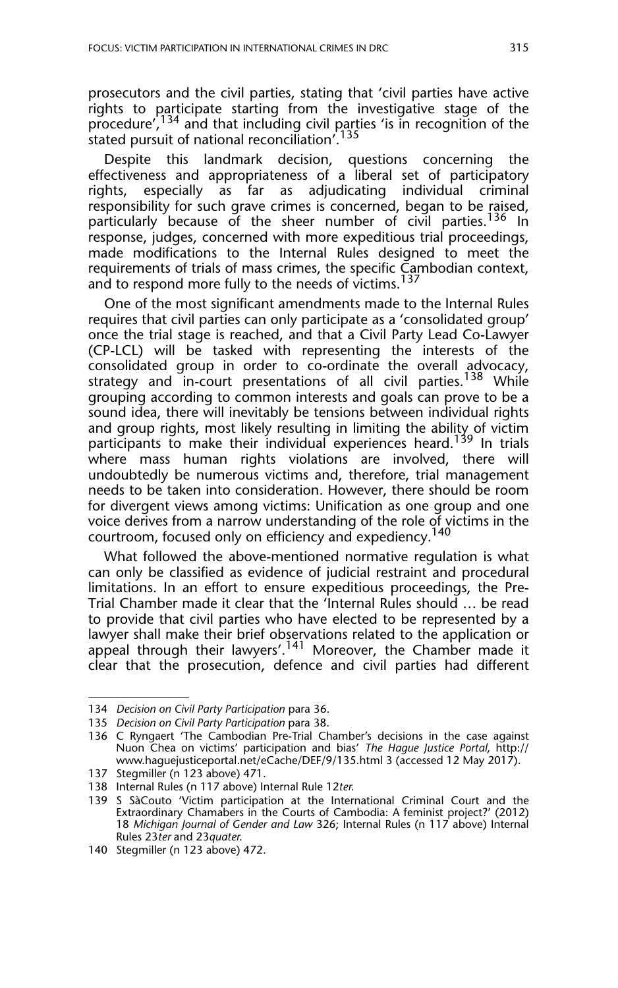prosecutors and the civil parties, stating that 'civil parties have active rights to participate starting from the investigative stage of the procedure',<sup>134</sup> and that including civil parties 'is in recognition of the stated pursuit of national reconciliation'.<sup>135</sup>

Despite this landmark decision, questions concerning the effectiveness and appropriateness of a liberal set of participatory rights, especially as far as adjudicating individual criminal responsibility for such grave crimes is concerned, began to be raised, particularly because of the sheer number of civil parties.<sup>136</sup> In response, judges, concerned with more expeditious trial proceedings, made modifications to the Internal Rules designed to meet the requirements of trials of mass crimes, the specific Cambodian context, and to respond more fully to the needs of victims.<sup>137</sup>

One of the most significant amendments made to the Internal Rules requires that civil parties can only participate as a 'consolidated group' once the trial stage is reached, and that a Civil Party Lead Co-Lawyer (CP-LCL) will be tasked with representing the interests of the consolidated group in order to co-ordinate the overall advocacy, strategy and in-court presentations of all civil parties.<sup>138</sup> While grouping according to common interests and goals can prove to be a sound idea, there will inevitably be tensions between individual rights and group rights, most likely resulting in limiting the ability of victim participants to make their individual experiences heard.<sup>139</sup> In trials where mass human rights violations are involved, there will undoubtedly be numerous victims and, therefore, trial management needs to be taken into consideration. However, there should be room for divergent views among victims: Unification as one group and one voice derives from a narrow understanding of the role of victims in the courtroom, focused only on efficiency and expediency.<sup>140</sup>

What followed the above-mentioned normative regulation is what can only be classified as evidence of judicial restraint and procedural limitations. In an effort to ensure expeditious proceedings, the Pre-Trial Chamber made it clear that the 'Internal Rules should … be read to provide that civil parties who have elected to be represented by a lawyer shall make their brief observations related to the application or appeal through their lawyers'.<sup>141</sup> Moreover, the Chamber made it clear that the prosecution, defence and civil parties had different

<sup>134</sup> *Decision on Civil Party Participation* para 36.

<sup>135</sup> *Decision on Civil Party Participation* para 38.

<sup>136</sup> C Ryngaert 'The Cambodian Pre-Trial Chamber's decisions in the case against Nuon Chea on victims' participation and bias' *The Hague Justice Portal*, http:// www.haguejusticeportal.net/eCache/DEF/9/135.html 3 (accessed 12 May 2017).

<sup>137</sup> Stegmiller (n 123 above) 471.

<sup>138</sup> Internal Rules (n 117 above) Internal Rule 12*ter*.

<sup>139</sup> S SàCouto 'Victim participation at the International Criminal Court and the Extraordinary Chamabers in the Courts of Cambodia: A feminist project?' (2012) 18 *Michigan Journal of Gender and Law* 326; Internal Rules (n 117 above) Internal Rules 23*ter* and 23*quater*.

<sup>140</sup> Stegmiller (n 123 above) 472.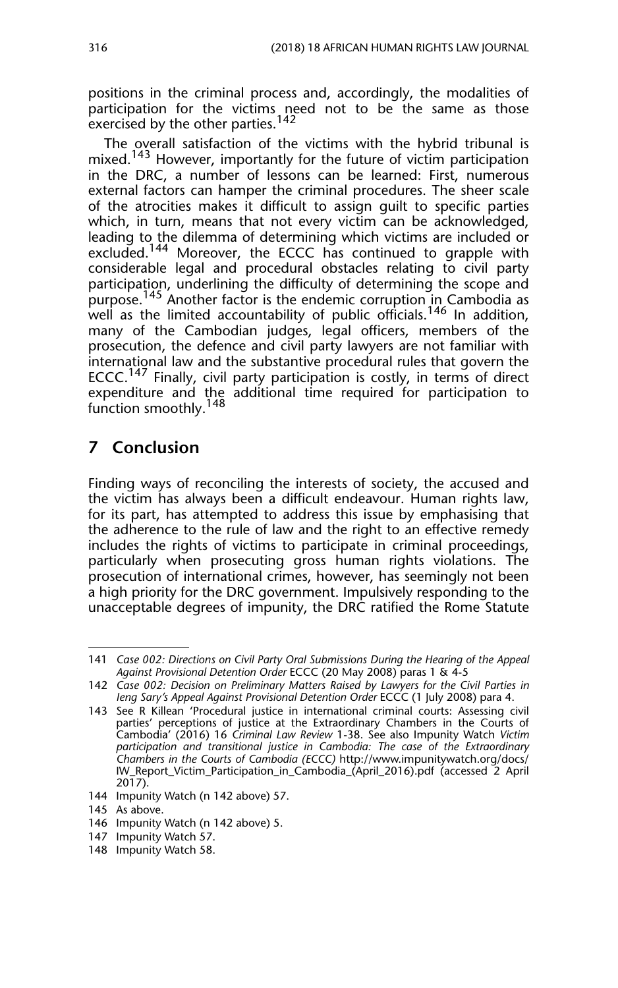positions in the criminal process and, accordingly, the modalities of participation for the victims need not to be the same as those exercised by the other parties.<sup>142</sup>

The overall satisfaction of the victims with the hybrid tribunal is mixed.<sup>143</sup> However, importantly for the future of victim participation in the DRC, a number of lessons can be learned: First, numerous external factors can hamper the criminal procedures. The sheer scale of the atrocities makes it difficult to assign guilt to specific parties which, in turn, means that not every victim can be acknowledged, leading to the dilemma of determining which victims are included or excluded.<sup>144</sup> Moreover, the ECCC has continued to grapple with considerable legal and procedural obstacles relating to civil party participation, underlining the difficulty of determining the scope and purpose.<sup>145</sup> Another factor is the endemic corruption in Cambodia as well as the limited accountability of public officials.<sup>146</sup> In addition, many of the Cambodian judges, legal officers, members of the prosecution, the defence and civil party lawyers are not familiar with international law and the substantive procedural rules that govern the ECCC.<sup>147</sup> Finally, civil party participation is costly, in terms of direct expenditure and the additional time required for participation to function smoothly.<sup>148</sup>

# **7 Conclusion**

Finding ways of reconciling the interests of society, the accused and the victim has always been a difficult endeavour. Human rights law, for its part, has attempted to address this issue by emphasising that the adherence to the rule of law and the right to an effective remedy includes the rights of victims to participate in criminal proceedings, particularly when prosecuting gross human rights violations. The prosecution of international crimes, however, has seemingly not been a high priority for the DRC government. Impulsively responding to the unacceptable degrees of impunity, the DRC ratified the Rome Statute

<sup>141</sup> *Case 002: Directions on Civil Party Oral Submissions During the Hearing of the Appeal Against Provisional Detention Order* ECCC (20 May 2008) paras 1 & 4-5

<sup>142</sup> *Case 002: Decision on Preliminary Matters Raised by Lawyers for the Civil Parties in Ieng Sary's Appeal Against Provisional Detention Order* ECCC (1 July 2008) para 4.

<sup>143</sup> See R Killean 'Procedural justice in international criminal courts: Assessing civil parties' perceptions of justice at the Extraordinary Chambers in the Courts of Cambodia' (2016) 16 *Criminal Law Review* 1-38. See also Impunity Watch *Victim participation and transitional justice in Cambodia: The case of the Extraordinary Chambers in the Courts of Cambodia (ECCC)* http://www.impunitywatch.org/docs/ IW\_Report\_Victim\_Participation\_in\_Cambodia\_(April\_2016).pdf (accessed 2 April 2017).

<sup>144</sup> Impunity Watch (n 142 above) 57.

<sup>145</sup> As above.

<sup>146</sup> Impunity Watch (n 142 above) 5.

<sup>147</sup> Impunity Watch 57.

<sup>148</sup> Impunity Watch 58.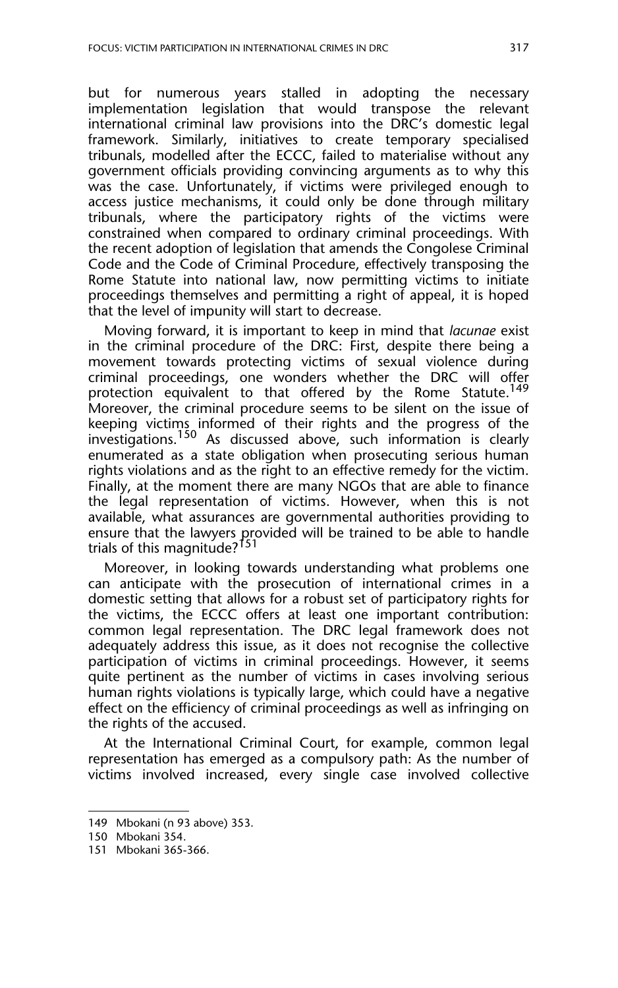but for numerous years stalled in adopting the necessary implementation legislation that would transpose the relevant international criminal law provisions into the DRC's domestic legal framework. Similarly, initiatives to create temporary specialised tribunals, modelled after the ECCC, failed to materialise without any government officials providing convincing arguments as to why this was the case. Unfortunately, if victims were privileged enough to access justice mechanisms, it could only be done through military tribunals, where the participatory rights of the victims were constrained when compared to ordinary criminal proceedings. With the recent adoption of legislation that amends the Congolese Criminal Code and the Code of Criminal Procedure, effectively transposing the Rome Statute into national law, now permitting victims to initiate proceedings themselves and permitting a right of appeal, it is hoped that the level of impunity will start to decrease.

Moving forward, it is important to keep in mind that *lacunae* exist in the criminal procedure of the DRC: First, despite there being a movement towards protecting victims of sexual violence during criminal proceedings, one wonders whether the DRC will offer protection equivalent to that offered by the Rome Statute.<sup>149</sup> Moreover, the criminal procedure seems to be silent on the issue of keeping victims informed of their rights and the progress of the investigations.<sup>150</sup> As discussed above, such information is clearly enumerated as a state obligation when prosecuting serious human rights violations and as the right to an effective remedy for the victim. Finally, at the moment there are many NGOs that are able to finance the legal representation of victims. However, when this is not available, what assurances are governmental authorities providing to ensure that the lawyers provided will be trained to be able to handle trials of this magnitude?<sup>151</sup>

Moreover, in looking towards understanding what problems one can anticipate with the prosecution of international crimes in a domestic setting that allows for a robust set of participatory rights for the victims, the ECCC offers at least one important contribution: common legal representation. The DRC legal framework does not adequately address this issue, as it does not recognise the collective participation of victims in criminal proceedings. However, it seems quite pertinent as the number of victims in cases involving serious human rights violations is typically large, which could have a negative effect on the efficiency of criminal proceedings as well as infringing on the rights of the accused.

At the International Criminal Court, for example, common legal representation has emerged as a compulsory path: As the number of victims involved increased, every single case involved collective

<sup>149</sup> Mbokani (n 93 above) 353.

<sup>150</sup> Mbokani 354.

<sup>151</sup> Mbokani 365-366.